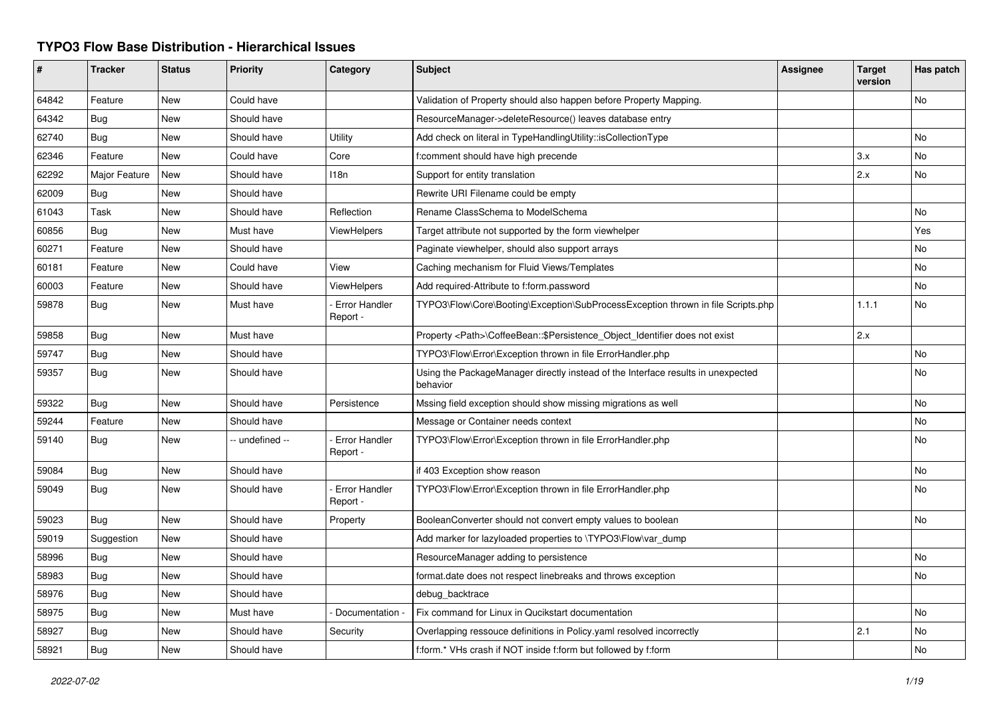## **TYPO3 Flow Base Distribution - Hierarchical Issues**

| #     | <b>Tracker</b> | <b>Status</b> | <b>Priority</b> | Category                         | <b>Subject</b>                                                                               | <b>Assignee</b> | <b>Target</b><br>version | Has patch |
|-------|----------------|---------------|-----------------|----------------------------------|----------------------------------------------------------------------------------------------|-----------------|--------------------------|-----------|
| 64842 | Feature        | <b>New</b>    | Could have      |                                  | Validation of Property should also happen before Property Mapping.                           |                 |                          | <b>No</b> |
| 64342 | <b>Bug</b>     | New           | Should have     |                                  | ResourceManager->deleteResource() leaves database entry                                      |                 |                          |           |
| 62740 | Bug            | New           | Should have     | Utility                          | Add check on literal in TypeHandlingUtility::isCollectionType                                |                 |                          | No        |
| 62346 | Feature        | New           | Could have      | Core                             | f:comment should have high precende                                                          |                 | 3.x                      | <b>No</b> |
| 62292 | Major Feature  | New           | Should have     | 118n                             | Support for entity translation                                                               |                 | 2.x                      | No        |
| 62009 | <b>Bug</b>     | <b>New</b>    | Should have     |                                  | Rewrite URI Filename could be empty                                                          |                 |                          |           |
| 61043 | Task           | <b>New</b>    | Should have     | Reflection                       | Rename ClassSchema to ModelSchema                                                            |                 |                          | No        |
| 60856 | <b>Bug</b>     | New           | Must have       | ViewHelpers                      | Target attribute not supported by the form viewhelper                                        |                 |                          | Yes       |
| 60271 | Feature        | New           | Should have     |                                  | Paginate viewhelper, should also support arrays                                              |                 |                          | No        |
| 60181 | Feature        | New           | Could have      | View                             | Caching mechanism for Fluid Views/Templates                                                  |                 |                          | No        |
| 60003 | Feature        | New           | Should have     | <b>ViewHelpers</b>               | Add required-Attribute to f:form.password                                                    |                 |                          | No        |
| 59878 | Bug            | New           | Must have       | <b>Error Handler</b><br>Report - | TYPO3\Flow\Core\Booting\Exception\SubProcessException thrown in file Scripts.php             |                 | 1.1.1                    | No        |
| 59858 | <b>Bug</b>     | New           | Must have       |                                  | Property <path>\CoffeeBean::\$Persistence Object Identifier does not exist</path>            |                 | 2.x                      |           |
| 59747 | <b>Bug</b>     | <b>New</b>    | Should have     |                                  | TYPO3\Flow\Error\Exception thrown in file ErrorHandler.php                                   |                 |                          | <b>No</b> |
| 59357 | <b>Bug</b>     | New           | Should have     |                                  | Using the PackageManager directly instead of the Interface results in unexpected<br>behavior |                 |                          | <b>No</b> |
| 59322 | Bug            | <b>New</b>    | Should have     | Persistence                      | Mssing field exception should show missing migrations as well                                |                 |                          | No        |
| 59244 | Feature        | New           | Should have     |                                  | Message or Container needs context                                                           |                 |                          | <b>No</b> |
| 59140 | <b>Bug</b>     | <b>New</b>    | -- undefined -- | <b>Error Handler</b><br>Report - | TYPO3\Flow\Error\Exception thrown in file ErrorHandler.php                                   |                 |                          | <b>No</b> |
| 59084 | <b>Bug</b>     | New           | Should have     |                                  | if 403 Exception show reason                                                                 |                 |                          | No        |
| 59049 | Bug            | <b>New</b>    | Should have     | <b>Error Handler</b><br>Report - | TYPO3\Flow\Error\Exception thrown in file ErrorHandler.php                                   |                 |                          | <b>No</b> |
| 59023 | Bug            | New           | Should have     | Property                         | BooleanConverter should not convert empty values to boolean                                  |                 |                          | <b>No</b> |
| 59019 | Suggestion     | New           | Should have     |                                  | Add marker for lazyloaded properties to \TYPO3\Flow\var dump                                 |                 |                          |           |
| 58996 | <b>Bug</b>     | New           | Should have     |                                  | ResourceManager adding to persistence                                                        |                 |                          | No        |
| 58983 | Bug            | <b>New</b>    | Should have     |                                  | format.date does not respect linebreaks and throws exception                                 |                 |                          | <b>No</b> |
| 58976 | Bug            | New           | Should have     |                                  | debug backtrace                                                                              |                 |                          |           |
| 58975 | <b>Bug</b>     | New           | Must have       | Documentation -                  | Fix command for Linux in Qucikstart documentation                                            |                 |                          | <b>No</b> |
| 58927 | Bug            | New           | Should have     | Security                         | Overlapping ressouce definitions in Policy yaml resolved incorrectly                         |                 | 2.1                      | No        |
| 58921 | Bug            | New           | Should have     |                                  | f:form.* VHs crash if NOT inside f:form but followed by f:form                               |                 |                          | No        |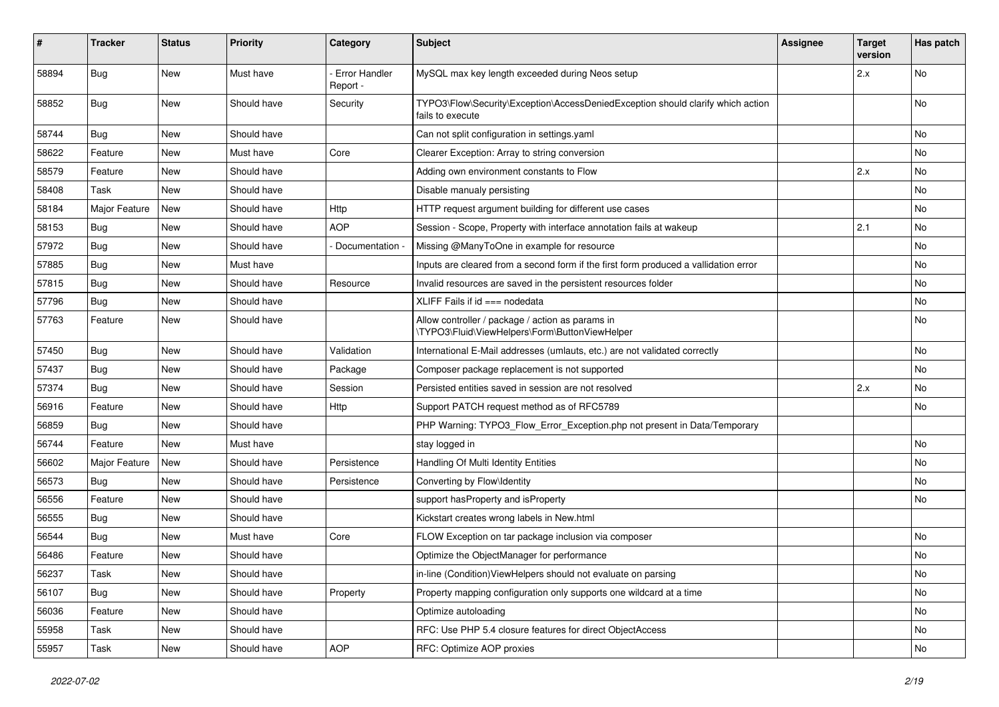| ∦     | <b>Tracker</b> | <b>Status</b> | <b>Priority</b> | Category                  | Subject                                                                                             | <b>Assignee</b> | <b>Target</b><br>version | Has patch |
|-------|----------------|---------------|-----------------|---------------------------|-----------------------------------------------------------------------------------------------------|-----------------|--------------------------|-----------|
| 58894 | Bug            | <b>New</b>    | Must have       | Error Handler<br>Report - | MySQL max key length exceeded during Neos setup                                                     |                 | 2.x                      | No        |
| 58852 | <b>Bug</b>     | New           | Should have     | Security                  | TYPO3\Flow\Security\Exception\AccessDeniedException should clarify which action<br>fails to execute |                 |                          | <b>No</b> |
| 58744 | <b>Bug</b>     | <b>New</b>    | Should have     |                           | Can not split configuration in settings yaml                                                        |                 |                          | <b>No</b> |
| 58622 | Feature        | New           | Must have       | Core                      | Clearer Exception: Array to string conversion                                                       |                 |                          | No        |
| 58579 | Feature        | New           | Should have     |                           | Adding own environment constants to Flow                                                            |                 | 2.x                      | No        |
| 58408 | Task           | New           | Should have     |                           | Disable manualy persisting                                                                          |                 |                          | No        |
| 58184 | Major Feature  | <b>New</b>    | Should have     | Http                      | HTTP request argument building for different use cases                                              |                 |                          | <b>No</b> |
| 58153 | <b>Bug</b>     | New           | Should have     | <b>AOP</b>                | Session - Scope, Property with interface annotation fails at wakeup                                 |                 | 2.1                      | No        |
| 57972 | <b>Bug</b>     | New           | Should have     | Documentation -           | Missing @ManyToOne in example for resource                                                          |                 |                          | No        |
| 57885 | Bug            | New           | Must have       |                           | Inputs are cleared from a second form if the first form produced a vallidation error                |                 |                          | No        |
| 57815 | <b>Bug</b>     | New           | Should have     | Resource                  | Invalid resources are saved in the persistent resources folder                                      |                 |                          | No        |
| 57796 | Bug            | New           | Should have     |                           | XLIFF Fails if $id ==$ nodedata                                                                     |                 |                          | <b>No</b> |
| 57763 | Feature        | New           | Should have     |                           | Allow controller / package / action as params in<br>\TYPO3\Fluid\ViewHelpers\Form\ButtonViewHelper  |                 |                          | No        |
| 57450 | Bug            | <b>New</b>    | Should have     | Validation                | International E-Mail addresses (umlauts, etc.) are not validated correctly                          |                 |                          | No        |
| 57437 | Bug            | New           | Should have     | Package                   | Composer package replacement is not supported                                                       |                 |                          | No        |
| 57374 | <b>Bug</b>     | New           | Should have     | Session                   | Persisted entities saved in session are not resolved                                                |                 | 2.x                      | No        |
| 56916 | Feature        | New           | Should have     | Http                      | Support PATCH request method as of RFC5789                                                          |                 |                          | No        |
| 56859 | <b>Bug</b>     | New           | Should have     |                           | PHP Warning: TYPO3_Flow_Error_Exception.php not present in Data/Temporary                           |                 |                          |           |
| 56744 | Feature        | <b>New</b>    | Must have       |                           | stay logged in                                                                                      |                 |                          | <b>No</b> |
| 56602 | Major Feature  | New           | Should have     | Persistence               | Handling Of Multi Identity Entities                                                                 |                 |                          | No        |
| 56573 | <b>Bug</b>     | New           | Should have     | Persistence               | Converting by Flow\Identity                                                                         |                 |                          | <b>No</b> |
| 56556 | Feature        | New           | Should have     |                           | support hasProperty and isProperty                                                                  |                 |                          | No        |
| 56555 | Bug            | New           | Should have     |                           | Kickstart creates wrong labels in New.html                                                          |                 |                          |           |
| 56544 | <b>Bug</b>     | New           | Must have       | Core                      | FLOW Exception on tar package inclusion via composer                                                |                 |                          | <b>No</b> |
| 56486 | Feature        | New           | Should have     |                           | Optimize the ObjectManager for performance                                                          |                 |                          | No        |
| 56237 | Task           | New           | Should have     |                           | in-line (Condition) View Helpers should not evaluate on parsing                                     |                 |                          | No        |
| 56107 | <b>Bug</b>     | New           | Should have     | Property                  | Property mapping configuration only supports one wildcard at a time                                 |                 |                          | No        |
| 56036 | Feature        | New           | Should have     |                           | Optimize autoloading                                                                                |                 |                          | No        |
| 55958 | Task           | New           | Should have     |                           | RFC: Use PHP 5.4 closure features for direct ObjectAccess                                           |                 |                          | No        |
| 55957 | Task           | New           | Should have     | <b>AOP</b>                | RFC: Optimize AOP proxies                                                                           |                 |                          | No        |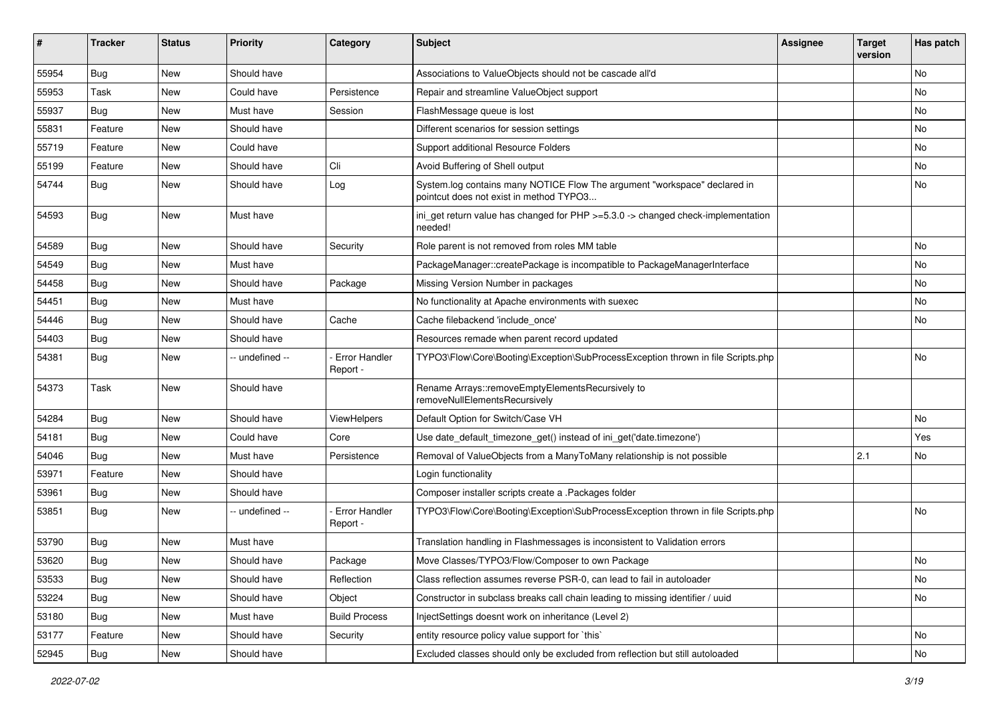| ∦     | <b>Tracker</b> | <b>Status</b> | <b>Priority</b> | Category                         | <b>Subject</b>                                                                                                       | <b>Assignee</b> | <b>Target</b><br>version | Has patch |
|-------|----------------|---------------|-----------------|----------------------------------|----------------------------------------------------------------------------------------------------------------------|-----------------|--------------------------|-----------|
| 55954 | Bug            | <b>New</b>    | Should have     |                                  | Associations to ValueObjects should not be cascade all'd                                                             |                 |                          | <b>No</b> |
| 55953 | Task           | New           | Could have      | Persistence                      | Repair and streamline ValueObject support                                                                            |                 |                          | No        |
| 55937 | <b>Bug</b>     | New           | Must have       | Session                          | FlashMessage queue is lost                                                                                           |                 |                          | No        |
| 55831 | Feature        | <b>New</b>    | Should have     |                                  | Different scenarios for session settings                                                                             |                 |                          | <b>No</b> |
| 55719 | Feature        | New           | Could have      |                                  | Support additional Resource Folders                                                                                  |                 |                          | No        |
| 55199 | Feature        | <b>New</b>    | Should have     | Cli                              | Avoid Buffering of Shell output                                                                                      |                 |                          | <b>No</b> |
| 54744 | Bug            | New           | Should have     | Log                              | System.log contains many NOTICE Flow The argument "workspace" declared in<br>pointcut does not exist in method TYPO3 |                 |                          | No        |
| 54593 | Bug            | New           | Must have       |                                  | ini_get return value has changed for PHP >=5.3.0 -> changed check-implementation<br>needed!                          |                 |                          |           |
| 54589 | <b>Bug</b>     | New           | Should have     | Security                         | Role parent is not removed from roles MM table                                                                       |                 |                          | No        |
| 54549 | Bug            | <b>New</b>    | Must have       |                                  | PackageManager::createPackage is incompatible to PackageManagerInterface                                             |                 |                          | No        |
| 54458 | <b>Bug</b>     | New           | Should have     | Package                          | Missing Version Number in packages                                                                                   |                 |                          | No        |
| 54451 | Bug            | New           | Must have       |                                  | No functionality at Apache environments with suexec                                                                  |                 |                          | <b>No</b> |
| 54446 | <b>Bug</b>     | New           | Should have     | Cache                            | Cache filebackend 'include_once'                                                                                     |                 |                          | No        |
| 54403 | <b>Bug</b>     | New           | Should have     |                                  | Resources remade when parent record updated                                                                          |                 |                          |           |
| 54381 | Bug            | New           | -- undefined -- | <b>Error Handler</b><br>Report - | TYPO3\Flow\Core\Booting\Exception\SubProcessException thrown in file Scripts.php                                     |                 |                          | No        |
| 54373 | Task           | New           | Should have     |                                  | Rename Arrays::removeEmptyElementsRecursively to<br>removeNullElementsRecursively                                    |                 |                          |           |
| 54284 | Bug            | New           | Should have     | <b>ViewHelpers</b>               | Default Option for Switch/Case VH                                                                                    |                 |                          | No        |
| 54181 | Bug            | New           | Could have      | Core                             | Use date_default_timezone_get() instead of ini_get('date.timezone')                                                  |                 |                          | Yes       |
| 54046 | <b>Bug</b>     | New           | Must have       | Persistence                      | Removal of ValueObjects from a ManyToMany relationship is not possible                                               |                 | 2.1                      | No        |
| 53971 | Feature        | New           | Should have     |                                  | Login functionality                                                                                                  |                 |                          |           |
| 53961 | Bug            | <b>New</b>    | Should have     |                                  | Composer installer scripts create a .Packages folder                                                                 |                 |                          |           |
| 53851 | <b>Bug</b>     | New           | - undefined --  | <b>Error Handler</b><br>Report - | TYPO3\Flow\Core\Booting\Exception\SubProcessException thrown in file Scripts.php                                     |                 |                          | <b>No</b> |
| 53790 | Bug            | New           | Must have       |                                  | Translation handling in Flashmessages is inconsistent to Validation errors                                           |                 |                          |           |
| 53620 | <b>Bug</b>     | New           | Should have     | Package                          | Move Classes/TYPO3/Flow/Composer to own Package                                                                      |                 |                          | No        |
| 53533 | <b>Bug</b>     | New           | Should have     | Reflection                       | Class reflection assumes reverse PSR-0, can lead to fail in autoloader                                               |                 |                          | No        |
| 53224 | <b>Bug</b>     | New           | Should have     | Object                           | Constructor in subclass breaks call chain leading to missing identifier / uuid                                       |                 |                          | No        |
| 53180 | <b>Bug</b>     | New           | Must have       | <b>Build Process</b>             | InjectSettings doesnt work on inheritance (Level 2)                                                                  |                 |                          |           |
| 53177 | Feature        | New           | Should have     | Security                         | entity resource policy value support for 'this'                                                                      |                 |                          | No        |
| 52945 | Bug            | New           | Should have     |                                  | Excluded classes should only be excluded from reflection but still autoloaded                                        |                 |                          | No        |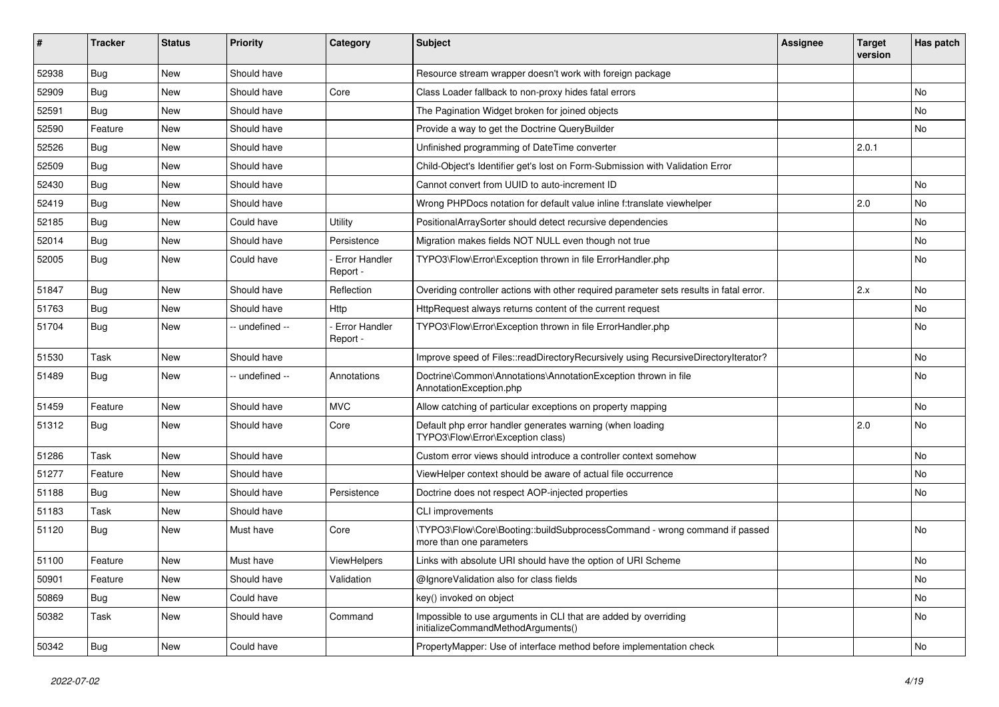| ∦     | <b>Tracker</b> | <b>Status</b> | <b>Priority</b> | Category                         | Subject                                                                                                | <b>Assignee</b> | <b>Target</b><br>version | Has patch |
|-------|----------------|---------------|-----------------|----------------------------------|--------------------------------------------------------------------------------------------------------|-----------------|--------------------------|-----------|
| 52938 | Bug            | <b>New</b>    | Should have     |                                  | Resource stream wrapper doesn't work with foreign package                                              |                 |                          |           |
| 52909 | Bug            | New           | Should have     | Core                             | Class Loader fallback to non-proxy hides fatal errors                                                  |                 |                          | <b>No</b> |
| 52591 | Bug            | New           | Should have     |                                  | The Pagination Widget broken for joined objects                                                        |                 |                          | No        |
| 52590 | Feature        | New           | Should have     |                                  | Provide a way to get the Doctrine QueryBuilder                                                         |                 |                          | No        |
| 52526 | Bug            | New           | Should have     |                                  | Unfinished programming of DateTime converter                                                           |                 | 2.0.1                    |           |
| 52509 | Bug            | <b>New</b>    | Should have     |                                  | Child-Object's Identifier get's lost on Form-Submission with Validation Error                          |                 |                          |           |
| 52430 | Bug            | New           | Should have     |                                  | Cannot convert from UUID to auto-increment ID                                                          |                 |                          | <b>No</b> |
| 52419 | Bug            | New           | Should have     |                                  | Wrong PHPDocs notation for default value inline f:translate viewhelper                                 |                 | 2.0                      | No        |
| 52185 | Bug            | <b>New</b>    | Could have      | Utility                          | PositionalArraySorter should detect recursive dependencies                                             |                 |                          | <b>No</b> |
| 52014 | Bug            | New           | Should have     | Persistence                      | Migration makes fields NOT NULL even though not true                                                   |                 |                          | No        |
| 52005 | Bug            | New           | Could have      | <b>Error Handler</b><br>Report - | TYPO3\Flow\Error\Exception thrown in file ErrorHandler.php                                             |                 |                          | <b>No</b> |
| 51847 | Bug            | New           | Should have     | Reflection                       | Overiding controller actions with other required parameter sets results in fatal error.                |                 | 2.x                      | <b>No</b> |
| 51763 | Bug            | <b>New</b>    | Should have     | Http                             | HttpRequest always returns content of the current request                                              |                 |                          | No        |
| 51704 | Bug            | New           | -- undefined -- | Error Handler<br>Report -        | TYPO3\Flow\Error\Exception thrown in file ErrorHandler.php                                             |                 |                          | <b>No</b> |
| 51530 | Task           | <b>New</b>    | Should have     |                                  | Improve speed of Files::readDirectoryRecursively using RecursiveDirectoryIterator?                     |                 |                          | <b>No</b> |
| 51489 | <b>Bug</b>     | New           | - undefined --  | Annotations                      | Doctrine\Common\Annotations\AnnotationException thrown in file<br>AnnotationException.php              |                 |                          | No        |
| 51459 | Feature        | New           | Should have     | <b>MVC</b>                       | Allow catching of particular exceptions on property mapping                                            |                 |                          | No        |
| 51312 | <b>Bug</b>     | New           | Should have     | Core                             | Default php error handler generates warning (when loading<br>TYPO3\Flow\Error\Exception class)         |                 | 2.0                      | <b>No</b> |
| 51286 | Task           | New           | Should have     |                                  | Custom error views should introduce a controller context somehow                                       |                 |                          | No        |
| 51277 | Feature        | New           | Should have     |                                  | ViewHelper context should be aware of actual file occurrence                                           |                 |                          | No        |
| 51188 | Bug            | <b>New</b>    | Should have     | Persistence                      | Doctrine does not respect AOP-injected properties                                                      |                 |                          | <b>No</b> |
| 51183 | Task           | New           | Should have     |                                  | CLI improvements                                                                                       |                 |                          |           |
| 51120 | <b>Bug</b>     | New           | Must have       | Core                             | \TYPO3\Flow\Core\Booting::buildSubprocessCommand - wrong command if passed<br>more than one parameters |                 |                          | <b>No</b> |
| 51100 | Feature        | <b>New</b>    | Must have       | <b>ViewHelpers</b>               | Links with absolute URI should have the option of URI Scheme                                           |                 |                          | No        |
| 50901 | Feature        | <b>New</b>    | Should have     | Validation                       | @IgnoreValidation also for class fields                                                                |                 |                          | No        |
| 50869 | <b>Bug</b>     | New           | Could have      |                                  | key() invoked on object                                                                                |                 |                          | No        |
| 50382 | Task           | New           | Should have     | Command                          | Impossible to use arguments in CLI that are added by overriding<br>initializeCommandMethodArguments()  |                 |                          | No        |
| 50342 | <b>Bug</b>     | New           | Could have      |                                  | PropertyMapper: Use of interface method before implementation check                                    |                 |                          | No        |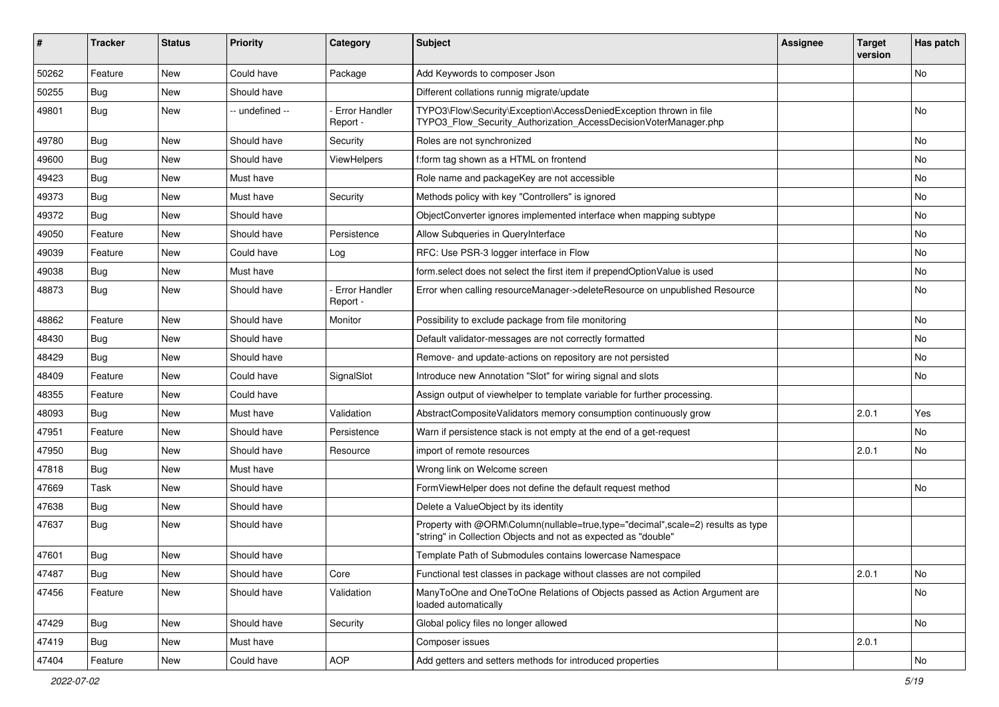| #     | <b>Tracker</b> | <b>Status</b> | <b>Priority</b> | Category                         | Subject                                                                                                                                           | Assignee | <b>Target</b><br>version | Has patch |
|-------|----------------|---------------|-----------------|----------------------------------|---------------------------------------------------------------------------------------------------------------------------------------------------|----------|--------------------------|-----------|
| 50262 | Feature        | New           | Could have      | Package                          | Add Keywords to composer Json                                                                                                                     |          |                          | No        |
| 50255 | <b>Bug</b>     | New           | Should have     |                                  | Different collations runnig migrate/update                                                                                                        |          |                          |           |
| 49801 | <b>Bug</b>     | New           | -- undefined -- | Error Handler<br>Report -        | TYPO3\Flow\Security\Exception\AccessDeniedException thrown in file<br>TYPO3_Flow_Security_Authorization_AccessDecisionVoterManager.php            |          |                          | No        |
| 49780 | <b>Bug</b>     | New           | Should have     | Security                         | Roles are not synchronized                                                                                                                        |          |                          | No        |
| 49600 | <b>Bug</b>     | New           | Should have     | ViewHelpers                      | f:form tag shown as a HTML on frontend                                                                                                            |          |                          | No        |
| 49423 | <b>Bug</b>     | New           | Must have       |                                  | Role name and packageKey are not accessible                                                                                                       |          |                          | No        |
| 49373 | Bug            | New           | Must have       | Security                         | Methods policy with key "Controllers" is ignored                                                                                                  |          |                          | No        |
| 49372 | <b>Bug</b>     | New           | Should have     |                                  | ObjectConverter ignores implemented interface when mapping subtype                                                                                |          |                          | No        |
| 49050 | Feature        | New           | Should have     | Persistence                      | Allow Subqueries in QueryInterface                                                                                                                |          |                          | No        |
| 49039 | Feature        | New           | Could have      | Log                              | RFC: Use PSR-3 logger interface in Flow                                                                                                           |          |                          | No        |
| 49038 | Bug            | New           | Must have       |                                  | form.select does not select the first item if prependOptionValue is used                                                                          |          |                          | No        |
| 48873 | <b>Bug</b>     | New           | Should have     | <b>Error Handler</b><br>Report - | Error when calling resourceManager->deleteResource on unpublished Resource                                                                        |          |                          | No        |
| 48862 | Feature        | New           | Should have     | Monitor                          | Possibility to exclude package from file monitoring                                                                                               |          |                          | No        |
| 48430 | <b>Bug</b>     | New           | Should have     |                                  | Default validator-messages are not correctly formatted                                                                                            |          |                          | No        |
| 48429 | Bug            | New           | Should have     |                                  | Remove- and update-actions on repository are not persisted                                                                                        |          |                          | No        |
| 48409 | Feature        | New           | Could have      | SignalSlot                       | Introduce new Annotation "Slot" for wiring signal and slots                                                                                       |          |                          | No        |
| 48355 | Feature        | New           | Could have      |                                  | Assign output of viewhelper to template variable for further processing.                                                                          |          |                          |           |
| 48093 | <b>Bug</b>     | New           | Must have       | Validation                       | AbstractCompositeValidators memory consumption continuously grow                                                                                  |          | 2.0.1                    | Yes       |
| 47951 | Feature        | New           | Should have     | Persistence                      | Warn if persistence stack is not empty at the end of a get-request                                                                                |          |                          | No        |
| 47950 | Bug            | New           | Should have     | Resource                         | import of remote resources                                                                                                                        |          | 2.0.1                    | No        |
| 47818 | <b>Bug</b>     | New           | Must have       |                                  | Wrong link on Welcome screen                                                                                                                      |          |                          |           |
| 47669 | Task           | New           | Should have     |                                  | FormViewHelper does not define the default request method                                                                                         |          |                          | No        |
| 47638 | <b>Bug</b>     | New           | Should have     |                                  | Delete a ValueObject by its identity                                                                                                              |          |                          |           |
| 47637 | Bug            | New           | Should have     |                                  | Property with @ORM\Column(nullable=true,type="decimal",scale=2) results as type<br>"string" in Collection Objects and not as expected as "double" |          |                          |           |
| 47601 | Bug            | New           | Should have     |                                  | Template Path of Submodules contains lowercase Namespace                                                                                          |          |                          |           |
| 47487 | <b>Bug</b>     | New           | Should have     | Core                             | Functional test classes in package without classes are not compiled                                                                               |          | 2.0.1                    | No        |
| 47456 | Feature        | New           | Should have     | Validation                       | ManyToOne and OneToOne Relations of Objects passed as Action Argument are<br>loaded automatically                                                 |          |                          | No        |
| 47429 | Bug            | New           | Should have     | Security                         | Global policy files no longer allowed                                                                                                             |          |                          | No        |
| 47419 | Bug            | New           | Must have       |                                  | Composer issues                                                                                                                                   |          | 2.0.1                    |           |
| 47404 | Feature        | New           | Could have      | AOP                              | Add getters and setters methods for introduced properties                                                                                         |          |                          | No        |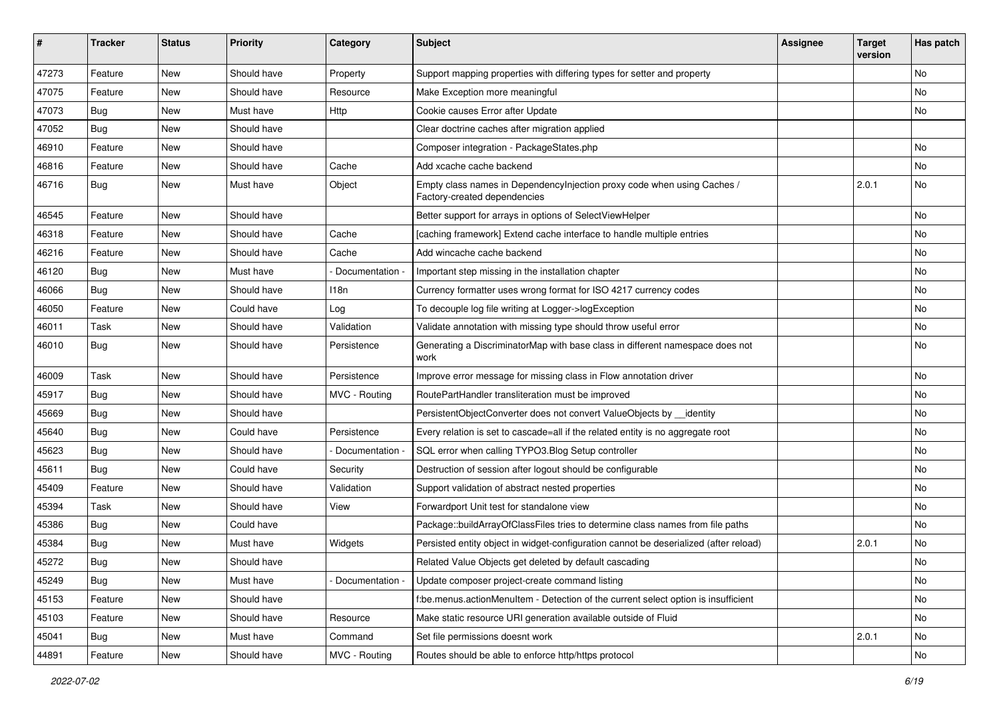| #     | <b>Tracker</b> | <b>Status</b> | Priority    | Category        | Subject                                                                                                 | Assignee | <b>Target</b><br>version | Has patch |
|-------|----------------|---------------|-------------|-----------------|---------------------------------------------------------------------------------------------------------|----------|--------------------------|-----------|
| 47273 | Feature        | New           | Should have | Property        | Support mapping properties with differing types for setter and property                                 |          |                          | No        |
| 47075 | Feature        | New           | Should have | Resource        | Make Exception more meaningful                                                                          |          |                          | No        |
| 47073 | <b>Bug</b>     | New           | Must have   | Http            | Cookie causes Error after Update                                                                        |          |                          | No        |
| 47052 | <b>Bug</b>     | New           | Should have |                 | Clear doctrine caches after migration applied                                                           |          |                          |           |
| 46910 | Feature        | New           | Should have |                 | Composer integration - PackageStates.php                                                                |          |                          | No        |
| 46816 | Feature        | New           | Should have | Cache           | Add xcache cache backend                                                                                |          |                          | <b>No</b> |
| 46716 | Bug            | New           | Must have   | Object          | Empty class names in Dependencylnjection proxy code when using Caches /<br>Factory-created dependencies |          | 2.0.1                    | No        |
| 46545 | Feature        | New           | Should have |                 | Better support for arrays in options of SelectViewHelper                                                |          |                          | No        |
| 46318 | Feature        | New           | Should have | Cache           | [caching framework] Extend cache interface to handle multiple entries                                   |          |                          | No        |
| 46216 | Feature        | New           | Should have | Cache           | Add wincache cache backend                                                                              |          |                          | No        |
| 46120 | <b>Bug</b>     | New           | Must have   | Documentation - | Important step missing in the installation chapter                                                      |          |                          | No        |
| 46066 | Bug            | New           | Should have | 118n            | Currency formatter uses wrong format for ISO 4217 currency codes                                        |          |                          | No        |
| 46050 | Feature        | New           | Could have  | Log             | To decouple log file writing at Logger->logException                                                    |          |                          | <b>No</b> |
| 46011 | Task           | New           | Should have | Validation      | Validate annotation with missing type should throw useful error                                         |          |                          | No        |
| 46010 | <b>Bug</b>     | New           | Should have | Persistence     | Generating a DiscriminatorMap with base class in different namespace does not<br>work                   |          |                          | No        |
| 46009 | Task           | New           | Should have | Persistence     | Improve error message for missing class in Flow annotation driver                                       |          |                          | <b>No</b> |
| 45917 | <b>Bug</b>     | New           | Should have | MVC - Routing   | RoutePartHandler transliteration must be improved                                                       |          |                          | No        |
| 45669 | <b>Bug</b>     | New           | Should have |                 | PersistentObjectConverter does not convert ValueObjects by identity                                     |          |                          | No        |
| 45640 | <b>Bug</b>     | New           | Could have  | Persistence     | Every relation is set to cascade=all if the related entity is no aggregate root                         |          |                          | No        |
| 45623 | Bug            | New           | Should have | Documentation - | SQL error when calling TYPO3.Blog Setup controller                                                      |          |                          | No        |
| 45611 | <b>Bug</b>     | New           | Could have  | Security        | Destruction of session after logout should be configurable                                              |          |                          | No        |
| 45409 | Feature        | New           | Should have | Validation      | Support validation of abstract nested properties                                                        |          |                          | No        |
| 45394 | Task           | New           | Should have | View            | Forwardport Unit test for standalone view                                                               |          |                          | No        |
| 45386 | <b>Bug</b>     | New           | Could have  |                 | Package::buildArrayOfClassFiles tries to determine class names from file paths                          |          |                          | No        |
| 45384 | <b>Bug</b>     | New           | Must have   | Widgets         | Persisted entity object in widget-configuration cannot be deserialized (after reload)                   |          | 2.0.1                    | No        |
| 45272 | Bug            | New           | Should have |                 | Related Value Objects get deleted by default cascading                                                  |          |                          | No        |
| 45249 | <b>Bug</b>     | New           | Must have   | Documentation - | Update composer project-create command listing                                                          |          |                          | No        |
| 45153 | Feature        | New           | Should have |                 | f:be.menus.actionMenuItem - Detection of the current select option is insufficient                      |          |                          | No        |
| 45103 | Feature        | New           | Should have | Resource        | Make static resource URI generation available outside of Fluid                                          |          |                          | No        |
| 45041 | <b>Bug</b>     | New           | Must have   | Command         | Set file permissions doesnt work                                                                        |          | 2.0.1                    | No        |
| 44891 | Feature        | New           | Should have | MVC - Routing   | Routes should be able to enforce http/https protocol                                                    |          |                          | No        |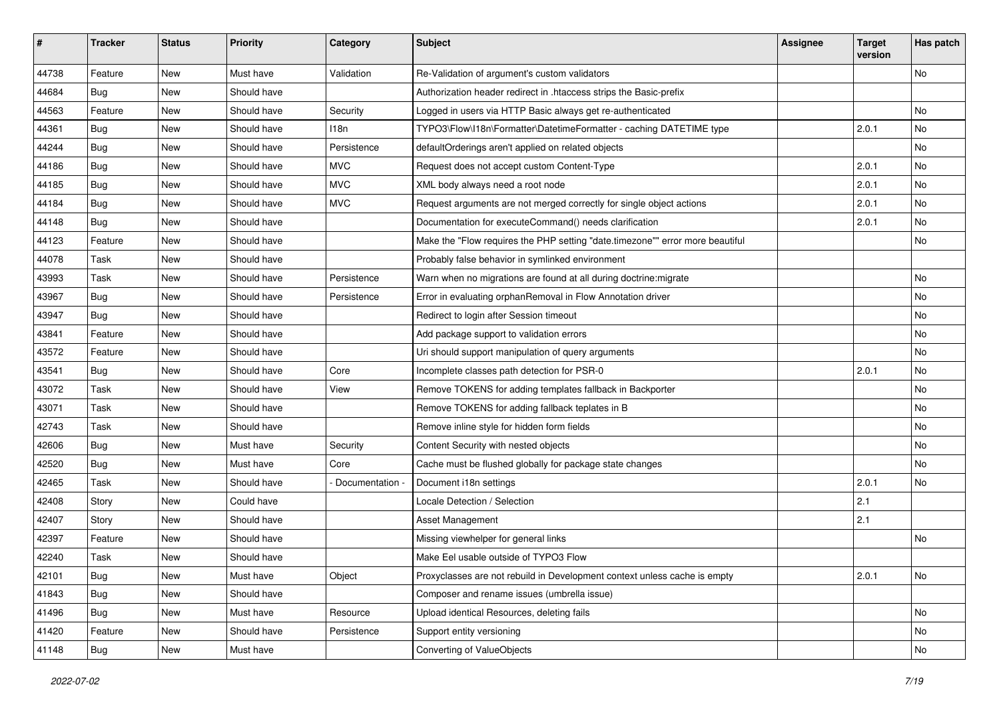| #     | <b>Tracker</b> | <b>Status</b> | Priority    | Category        | <b>Subject</b>                                                                | <b>Assignee</b> | Target<br>version | Has patch |
|-------|----------------|---------------|-------------|-----------------|-------------------------------------------------------------------------------|-----------------|-------------------|-----------|
| 44738 | Feature        | <b>New</b>    | Must have   | Validation      | Re-Validation of argument's custom validators                                 |                 |                   | No        |
| 44684 | <b>Bug</b>     | <b>New</b>    | Should have |                 | Authorization header redirect in .htaccess strips the Basic-prefix            |                 |                   |           |
| 44563 | Feature        | <b>New</b>    | Should have | Security        | Logged in users via HTTP Basic always get re-authenticated                    |                 |                   | No        |
| 44361 | <b>Bug</b>     | <b>New</b>    | Should have | 118n            | TYPO3\Flow\I18n\Formatter\DatetimeFormatter - caching DATETIME type           |                 | 2.0.1             | No        |
| 44244 | <b>Bug</b>     | <b>New</b>    | Should have | Persistence     | defaultOrderings aren't applied on related objects                            |                 |                   | No        |
| 44186 | Bug            | <b>New</b>    | Should have | <b>MVC</b>      | Request does not accept custom Content-Type                                   |                 | 2.0.1             | <b>No</b> |
| 44185 | <b>Bug</b>     | <b>New</b>    | Should have | <b>MVC</b>      | XML body always need a root node                                              |                 | 2.0.1             | No        |
| 44184 | <b>Bug</b>     | <b>New</b>    | Should have | <b>MVC</b>      | Request arguments are not merged correctly for single object actions          |                 | 2.0.1             | No        |
| 44148 | Bug            | <b>New</b>    | Should have |                 | Documentation for executeCommand() needs clarification                        |                 | 2.0.1             | No        |
| 44123 | Feature        | New           | Should have |                 | Make the "Flow requires the PHP setting "date.timezone"" error more beautiful |                 |                   | No        |
| 44078 | Task           | <b>New</b>    | Should have |                 | Probably false behavior in symlinked environment                              |                 |                   |           |
| 43993 | Task           | <b>New</b>    | Should have | Persistence     | Warn when no migrations are found at all during doctrine: migrate             |                 |                   | No        |
| 43967 | <b>Bug</b>     | <b>New</b>    | Should have | Persistence     | Error in evaluating orphanRemoval in Flow Annotation driver                   |                 |                   | No        |
| 43947 | <b>Bug</b>     | <b>New</b>    | Should have |                 | Redirect to login after Session timeout                                       |                 |                   | No        |
| 43841 | Feature        | <b>New</b>    | Should have |                 | Add package support to validation errors                                      |                 |                   | No        |
| 43572 | Feature        | <b>New</b>    | Should have |                 | Uri should support manipulation of query arguments                            |                 |                   | No        |
| 43541 | <b>Bug</b>     | <b>New</b>    | Should have | Core            | Incomplete classes path detection for PSR-0                                   |                 | 2.0.1             | No        |
| 43072 | Task           | <b>New</b>    | Should have | View            | Remove TOKENS for adding templates fallback in Backporter                     |                 |                   | No        |
| 43071 | Task           | <b>New</b>    | Should have |                 | Remove TOKENS for adding fallback teplates in B                               |                 |                   | No        |
| 42743 | Task           | <b>New</b>    | Should have |                 | Remove inline style for hidden form fields                                    |                 |                   | No        |
| 42606 | <b>Bug</b>     | <b>New</b>    | Must have   | Security        | Content Security with nested objects                                          |                 |                   | No        |
| 42520 | Bug            | <b>New</b>    | Must have   | Core            | Cache must be flushed globally for package state changes                      |                 |                   | No        |
| 42465 | Task           | <b>New</b>    | Should have | Documentation - | Document i18n settings                                                        |                 | 2.0.1             | No        |
| 42408 | Story          | <b>New</b>    | Could have  |                 | Locale Detection / Selection                                                  |                 | 2.1               |           |
| 42407 | Story          | <b>New</b>    | Should have |                 | Asset Management                                                              |                 | 2.1               |           |
| 42397 | Feature        | <b>New</b>    | Should have |                 | Missing viewhelper for general links                                          |                 |                   | No        |
| 42240 | Task           | <b>New</b>    | Should have |                 | Make Eel usable outside of TYPO3 Flow                                         |                 |                   |           |
| 42101 | <b>Bug</b>     | New           | Must have   | Object          | Proxyclasses are not rebuild in Development context unless cache is empty     |                 | 2.0.1             | No        |
| 41843 | Bug            | New           | Should have |                 | Composer and rename issues (umbrella issue)                                   |                 |                   |           |
| 41496 | <b>Bug</b>     | New           | Must have   | Resource        | Upload identical Resources, deleting fails                                    |                 |                   | No        |
| 41420 | Feature        | New           | Should have | Persistence     | Support entity versioning                                                     |                 |                   | No        |
| 41148 | <b>Bug</b>     | New           | Must have   |                 | Converting of ValueObjects                                                    |                 |                   | No        |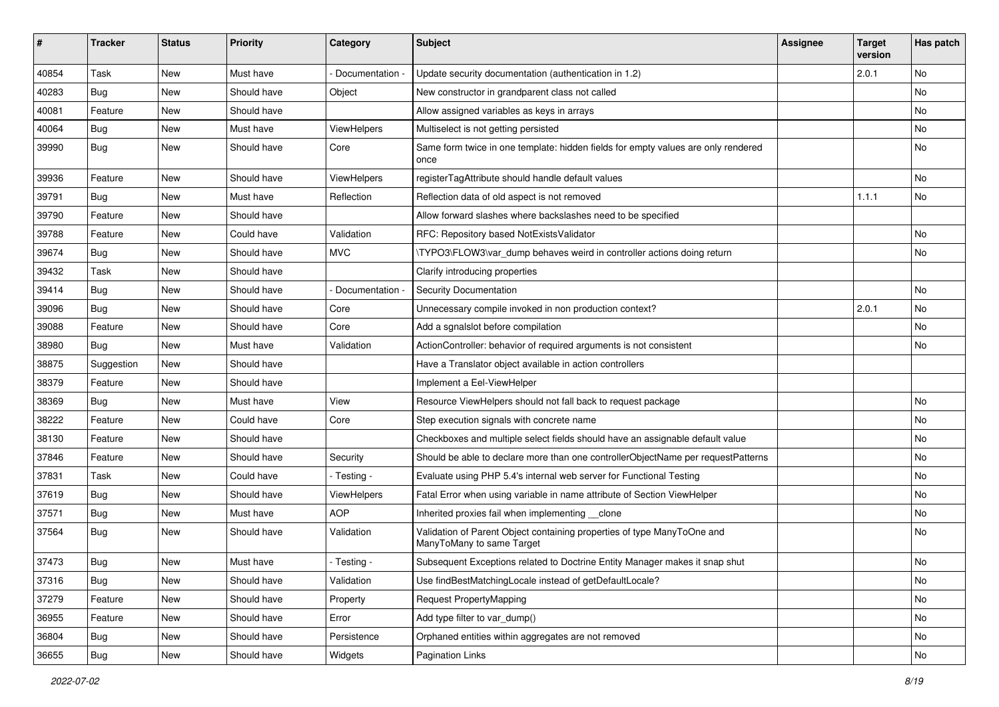| #     | <b>Tracker</b> | <b>Status</b> | <b>Priority</b> | Category           | Subject                                                                                              | <b>Assignee</b> | <b>Target</b><br>version | Has patch |
|-------|----------------|---------------|-----------------|--------------------|------------------------------------------------------------------------------------------------------|-----------------|--------------------------|-----------|
| 40854 | Task           | New           | Must have       | Documentation -    | Update security documentation (authentication in 1.2)                                                |                 | 2.0.1                    | No        |
| 40283 | <b>Bug</b>     | New           | Should have     | Object             | New constructor in grandparent class not called                                                      |                 |                          | No        |
| 40081 | Feature        | New           | Should have     |                    | Allow assigned variables as keys in arrays                                                           |                 |                          | No        |
| 40064 | Bug            | New           | Must have       | <b>ViewHelpers</b> | Multiselect is not getting persisted                                                                 |                 |                          | No        |
| 39990 | <b>Bug</b>     | New           | Should have     | Core               | Same form twice in one template: hidden fields for empty values are only rendered<br>once            |                 |                          | No        |
| 39936 | Feature        | New           | Should have     | ViewHelpers        | registerTagAttribute should handle default values                                                    |                 |                          | No        |
| 39791 | <b>Bug</b>     | New           | Must have       | Reflection         | Reflection data of old aspect is not removed                                                         |                 | 1.1.1                    | No        |
| 39790 | Feature        | New           | Should have     |                    | Allow forward slashes where backslashes need to be specified                                         |                 |                          |           |
| 39788 | Feature        | New           | Could have      | Validation         | RFC: Repository based NotExistsValidator                                                             |                 |                          | No        |
| 39674 | <b>Bug</b>     | New           | Should have     | <b>MVC</b>         | \TYPO3\FLOW3\var_dump behaves weird in controller actions doing return                               |                 |                          | <b>No</b> |
| 39432 | Task           | New           | Should have     |                    | Clarify introducing properties                                                                       |                 |                          |           |
| 39414 | <b>Bug</b>     | New           | Should have     | Documentation -    | Security Documentation                                                                               |                 |                          | No        |
| 39096 | <b>Bug</b>     | New           | Should have     | Core               | Unnecessary compile invoked in non production context?                                               |                 | 2.0.1                    | No        |
| 39088 | Feature        | New           | Should have     | Core               | Add a sgnalslot before compilation                                                                   |                 |                          | No        |
| 38980 | <b>Bug</b>     | New           | Must have       | Validation         | ActionController: behavior of required arguments is not consistent                                   |                 |                          | No        |
| 38875 | Suggestion     | New           | Should have     |                    | Have a Translator object available in action controllers                                             |                 |                          |           |
| 38379 | Feature        | New           | Should have     |                    | Implement a Eel-ViewHelper                                                                           |                 |                          |           |
| 38369 | <b>Bug</b>     | New           | Must have       | View               | Resource ViewHelpers should not fall back to request package                                         |                 |                          | <b>No</b> |
| 38222 | Feature        | New           | Could have      | Core               | Step execution signals with concrete name                                                            |                 |                          | No        |
| 38130 | Feature        | New           | Should have     |                    | Checkboxes and multiple select fields should have an assignable default value                        |                 |                          | No        |
| 37846 | Feature        | New           | Should have     | Security           | Should be able to declare more than one controllerObjectName per requestPatterns                     |                 |                          | No        |
| 37831 | Task           | New           | Could have      | - Testing -        | Evaluate using PHP 5.4's internal web server for Functional Testing                                  |                 |                          | No        |
| 37619 | <b>Bug</b>     | New           | Should have     | ViewHelpers        | Fatal Error when using variable in name attribute of Section ViewHelper                              |                 |                          | No        |
| 37571 | <b>Bug</b>     | New           | Must have       | <b>AOP</b>         | Inherited proxies fail when implementing __clone                                                     |                 |                          | No        |
| 37564 | <b>Bug</b>     | New           | Should have     | Validation         | Validation of Parent Object containing properties of type ManyToOne and<br>ManyToMany to same Target |                 |                          | <b>No</b> |
| 37473 | Bug            | New           | Must have       | - Testing -        | Subsequent Exceptions related to Doctrine Entity Manager makes it snap shut                          |                 |                          | No        |
| 37316 | <b>Bug</b>     | New           | Should have     | Validation         | Use findBestMatchingLocale instead of getDefaultLocale?                                              |                 |                          | No        |
| 37279 | Feature        | New           | Should have     | Property           | Request PropertyMapping                                                                              |                 |                          | No        |
| 36955 | Feature        | New           | Should have     | Error              | Add type filter to var_dump()                                                                        |                 |                          | No        |
| 36804 | <b>Bug</b>     | New           | Should have     | Persistence        | Orphaned entities within aggregates are not removed                                                  |                 |                          | No        |
| 36655 | <b>Bug</b>     | New           | Should have     | Widgets            | Pagination Links                                                                                     |                 |                          | No        |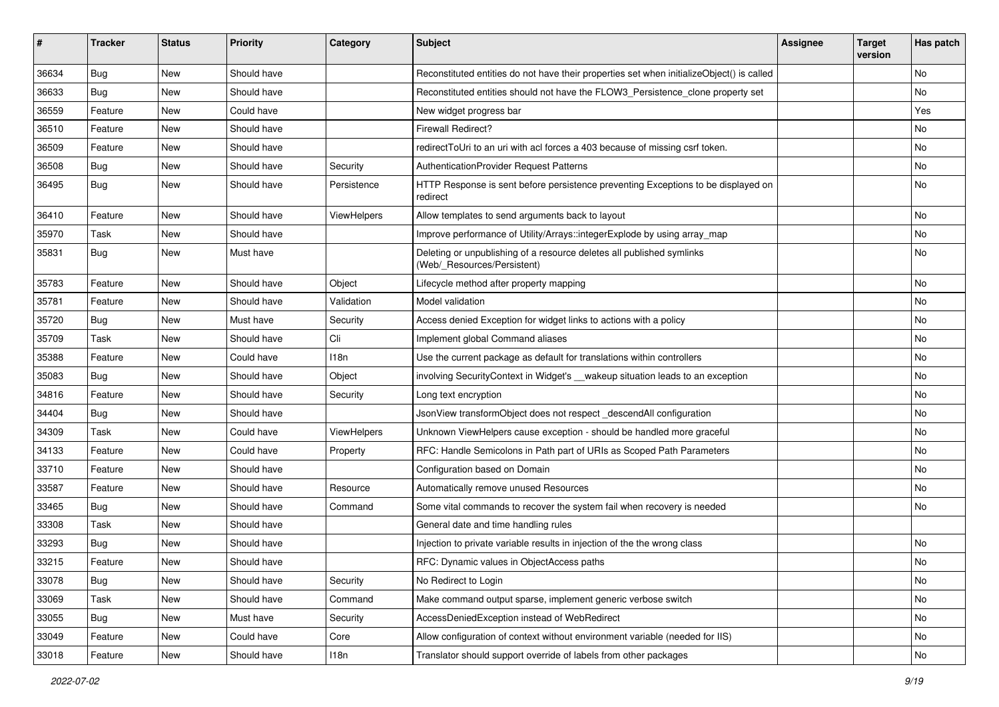| #     | <b>Tracker</b> | <b>Status</b> | <b>Priority</b> | Category    | <b>Subject</b>                                                                                       | <b>Assignee</b> | <b>Target</b><br>version | Has patch     |
|-------|----------------|---------------|-----------------|-------------|------------------------------------------------------------------------------------------------------|-----------------|--------------------------|---------------|
| 36634 | Bug            | <b>New</b>    | Should have     |             | Reconstituted entities do not have their properties set when initializeObject() is called            |                 |                          | <b>No</b>     |
| 36633 | Bug            | New           | Should have     |             | Reconstituted entities should not have the FLOW3_Persistence_clone property set                      |                 |                          | No            |
| 36559 | Feature        | New           | Could have      |             | New widget progress bar                                                                              |                 |                          | Yes           |
| 36510 | Feature        | New           | Should have     |             | Firewall Redirect?                                                                                   |                 |                          | No            |
| 36509 | Feature        | New           | Should have     |             | redirectToUri to an uri with acl forces a 403 because of missing csrf token.                         |                 |                          | No            |
| 36508 | Bug            | New           | Should have     | Security    | <b>AuthenticationProvider Request Patterns</b>                                                       |                 |                          | <b>No</b>     |
| 36495 | <b>Bug</b>     | New           | Should have     | Persistence | HTTP Response is sent before persistence preventing Exceptions to be displayed on<br>redirect        |                 |                          | No            |
| 36410 | Feature        | New           | Should have     | ViewHelpers | Allow templates to send arguments back to layout                                                     |                 |                          | <b>No</b>     |
| 35970 | Task           | New           | Should have     |             | Improve performance of Utility/Arrays::integerExplode by using array_map                             |                 |                          | No            |
| 35831 | Bug            | New           | Must have       |             | Deleting or unpublishing of a resource deletes all published symlinks<br>(Web/_Resources/Persistent) |                 |                          | No            |
| 35783 | Feature        | New           | Should have     | Object      | Lifecycle method after property mapping                                                              |                 |                          | <b>No</b>     |
| 35781 | Feature        | New           | Should have     | Validation  | Model validation                                                                                     |                 |                          | No            |
| 35720 | Bug            | New           | Must have       | Security    | Access denied Exception for widget links to actions with a policy                                    |                 |                          | No            |
| 35709 | Task           | New           | Should have     | Cli         | Implement global Command aliases                                                                     |                 |                          | No            |
| 35388 | Feature        | New           | Could have      | 118n        | Use the current package as default for translations within controllers                               |                 |                          | No            |
| 35083 | Bug            | New           | Should have     | Object      | involving SecurityContext in Widget's __wakeup situation leads to an exception                       |                 |                          | No            |
| 34816 | Feature        | New           | Should have     | Security    | Long text encryption                                                                                 |                 |                          | No            |
| 34404 | <b>Bug</b>     | <b>New</b>    | Should have     |             | JsonView transformObject does not respect descendAll configuration                                   |                 |                          | <b>No</b>     |
| 34309 | Task           | New           | Could have      | ViewHelpers | Unknown ViewHelpers cause exception - should be handled more graceful                                |                 |                          | No            |
| 34133 | Feature        | New           | Could have      | Property    | RFC: Handle Semicolons in Path part of URIs as Scoped Path Parameters                                |                 |                          | <b>No</b>     |
| 33710 | Feature        | New           | Should have     |             | Configuration based on Domain                                                                        |                 |                          | No            |
| 33587 | Feature        | New           | Should have     | Resource    | Automatically remove unused Resources                                                                |                 |                          | No            |
| 33465 | <b>Bug</b>     | <b>New</b>    | Should have     | Command     | Some vital commands to recover the system fail when recovery is needed                               |                 |                          | No            |
| 33308 | Task           | New           | Should have     |             | General date and time handling rules                                                                 |                 |                          |               |
| 33293 | Bug            | New           | Should have     |             | Injection to private variable results in injection of the the wrong class                            |                 |                          | No            |
| 33215 | Feature        | New           | Should have     |             | RFC: Dynamic values in ObjectAccess paths                                                            |                 |                          | No            |
| 33078 | Bug            | New           | Should have     | Security    | No Redirect to Login                                                                                 |                 |                          | No            |
| 33069 | Task           | New           | Should have     | Command     | Make command output sparse, implement generic verbose switch                                         |                 |                          | No            |
| 33055 | Bug            | New           | Must have       | Security    | AccessDeniedException instead of WebRedirect                                                         |                 |                          | No            |
| 33049 | Feature        | New           | Could have      | Core        | Allow configuration of context without environment variable (needed for IIS)                         |                 |                          | No            |
| 33018 | Feature        | New           | Should have     | 118n        | Translator should support override of labels from other packages                                     |                 |                          | $\mathsf{No}$ |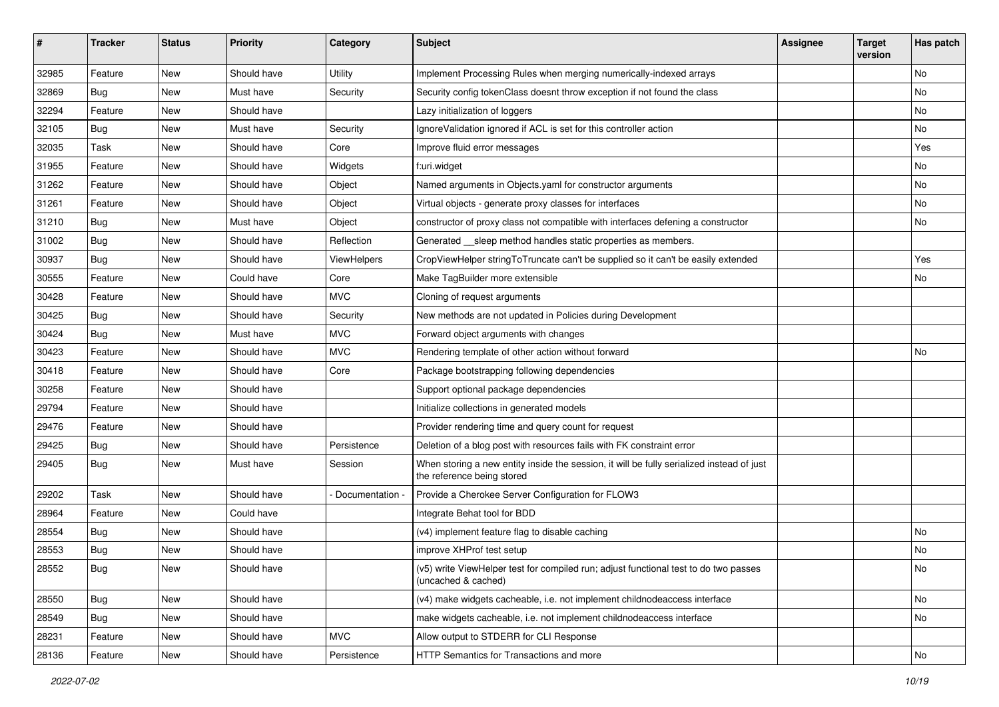| ∦     | <b>Tracker</b> | <b>Status</b> | Priority    | Category           | <b>Subject</b>                                                                                                          | <b>Assignee</b> | <b>Target</b><br>version | Has patch     |
|-------|----------------|---------------|-------------|--------------------|-------------------------------------------------------------------------------------------------------------------------|-----------------|--------------------------|---------------|
| 32985 | Feature        | <b>New</b>    | Should have | Utility            | Implement Processing Rules when merging numerically-indexed arrays                                                      |                 |                          | <b>No</b>     |
| 32869 | <b>Bug</b>     | New           | Must have   | Security           | Security config tokenClass doesnt throw exception if not found the class                                                |                 |                          | No            |
| 32294 | Feature        | New           | Should have |                    | Lazy initialization of loggers                                                                                          |                 |                          | No            |
| 32105 | <b>Bug</b>     | <b>New</b>    | Must have   | Security           | IgnoreValidation ignored if ACL is set for this controller action                                                       |                 |                          | No            |
| 32035 | Task           | New           | Should have | Core               | Improve fluid error messages                                                                                            |                 |                          | Yes           |
| 31955 | Feature        | New           | Should have | Widgets            | f:uri.widget                                                                                                            |                 |                          | <b>No</b>     |
| 31262 | Feature        | New           | Should have | Object             | Named arguments in Objects.yaml for constructor arguments                                                               |                 |                          | No            |
| 31261 | Feature        | New           | Should have | Object             | Virtual objects - generate proxy classes for interfaces                                                                 |                 |                          | No            |
| 31210 | <b>Bug</b>     | New           | Must have   | Object             | constructor of proxy class not compatible with interfaces defening a constructor                                        |                 |                          | No            |
| 31002 | Bug            | New           | Should have | Reflection         | Generated __sleep method handles static properties as members.                                                          |                 |                          |               |
| 30937 | <b>Bug</b>     | New           | Should have | <b>ViewHelpers</b> | CropViewHelper stringToTruncate can't be supplied so it can't be easily extended                                        |                 |                          | Yes           |
| 30555 | Feature        | New           | Could have  | Core               | Make TagBuilder more extensible                                                                                         |                 |                          | No            |
| 30428 | Feature        | New           | Should have | <b>MVC</b>         | Cloning of request arguments                                                                                            |                 |                          |               |
| 30425 | <b>Bug</b>     | <b>New</b>    | Should have | Security           | New methods are not updated in Policies during Development                                                              |                 |                          |               |
| 30424 | Bug            | New           | Must have   | <b>MVC</b>         | Forward object arguments with changes                                                                                   |                 |                          |               |
| 30423 | Feature        | New           | Should have | <b>MVC</b>         | Rendering template of other action without forward                                                                      |                 |                          | No            |
| 30418 | Feature        | New           | Should have | Core               | Package bootstrapping following dependencies                                                                            |                 |                          |               |
| 30258 | Feature        | New           | Should have |                    | Support optional package dependencies                                                                                   |                 |                          |               |
| 29794 | Feature        | New           | Should have |                    | Initialize collections in generated models                                                                              |                 |                          |               |
| 29476 | Feature        | New           | Should have |                    | Provider rendering time and query count for request                                                                     |                 |                          |               |
| 29425 | Bug            | New           | Should have | Persistence        | Deletion of a blog post with resources fails with FK constraint error                                                   |                 |                          |               |
| 29405 | <b>Bug</b>     | New           | Must have   | Session            | When storing a new entity inside the session, it will be fully serialized instead of just<br>the reference being stored |                 |                          |               |
| 29202 | Task           | New           | Should have | Documentation -    | Provide a Cherokee Server Configuration for FLOW3                                                                       |                 |                          |               |
| 28964 | Feature        | <b>New</b>    | Could have  |                    | Integrate Behat tool for BDD                                                                                            |                 |                          |               |
| 28554 | Bug            | New           | Should have |                    | (v4) implement feature flag to disable caching                                                                          |                 |                          | No            |
| 28553 | <b>Bug</b>     | <b>New</b>    | Should have |                    | improve XHProf test setup                                                                                               |                 |                          | <b>No</b>     |
| 28552 | <b>Bug</b>     | New           | Should have |                    | (v5) write ViewHelper test for compiled run; adjust functional test to do two passes<br>(uncached & cached)             |                 |                          | No            |
| 28550 | <b>Bug</b>     | New           | Should have |                    | (v4) make widgets cacheable, i.e. not implement childnodeaccess interface                                               |                 |                          | No            |
| 28549 | <b>Bug</b>     | New           | Should have |                    | make widgets cacheable, i.e. not implement childnodeaccess interface                                                    |                 |                          | No            |
| 28231 | Feature        | New           | Should have | <b>MVC</b>         | Allow output to STDERR for CLI Response                                                                                 |                 |                          |               |
| 28136 | Feature        | New           | Should have | Persistence        | HTTP Semantics for Transactions and more                                                                                |                 |                          | $\mathsf{No}$ |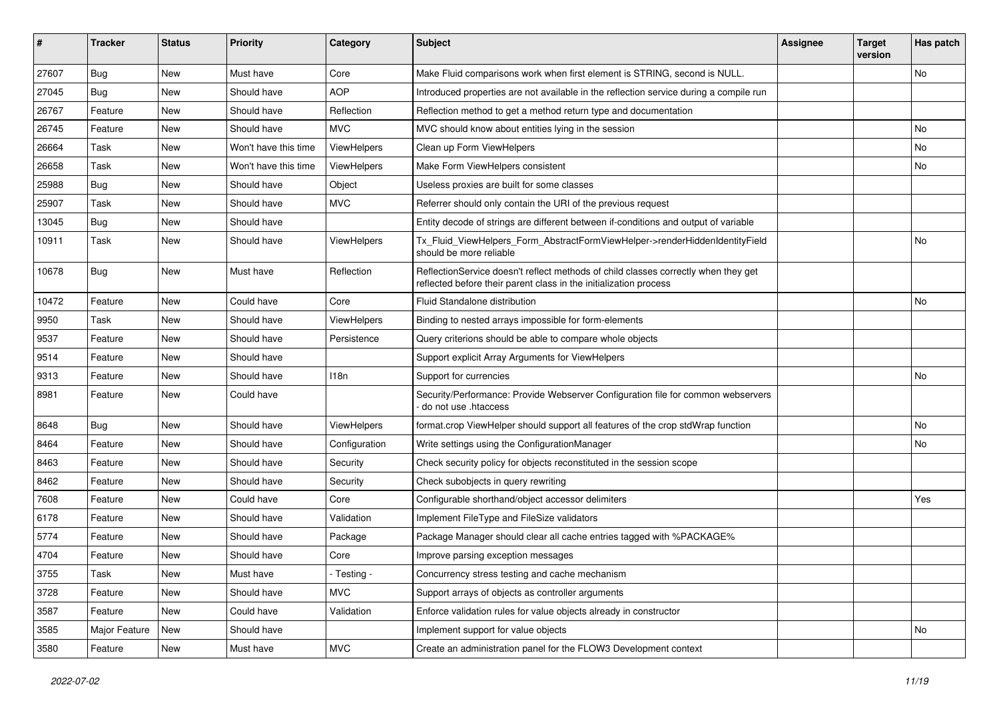| #     | <b>Tracker</b> | <b>Status</b> | <b>Priority</b>      | Category           | <b>Subject</b>                                                                                                                                          | <b>Assignee</b> | <b>Target</b><br>version | Has patch |
|-------|----------------|---------------|----------------------|--------------------|---------------------------------------------------------------------------------------------------------------------------------------------------------|-----------------|--------------------------|-----------|
| 27607 | Bug            | New           | Must have            | Core               | Make Fluid comparisons work when first element is STRING, second is NULL.                                                                               |                 |                          | No        |
| 27045 | <b>Bug</b>     | New           | Should have          | <b>AOP</b>         | Introduced properties are not available in the reflection service during a compile run                                                                  |                 |                          |           |
| 26767 | Feature        | New           | Should have          | Reflection         | Reflection method to get a method return type and documentation                                                                                         |                 |                          |           |
| 26745 | Feature        | <b>New</b>    | Should have          | <b>MVC</b>         | MVC should know about entities lying in the session                                                                                                     |                 |                          | <b>No</b> |
| 26664 | Task           | New           | Won't have this time | ViewHelpers        | Clean up Form ViewHelpers                                                                                                                               |                 |                          | No        |
| 26658 | Task           | New           | Won't have this time | <b>ViewHelpers</b> | Make Form ViewHelpers consistent                                                                                                                        |                 |                          | <b>No</b> |
| 25988 | <b>Bug</b>     | New           | Should have          | Object             | Useless proxies are built for some classes                                                                                                              |                 |                          |           |
| 25907 | Task           | New           | Should have          | <b>MVC</b>         | Referrer should only contain the URI of the previous request                                                                                            |                 |                          |           |
| 13045 | <b>Bug</b>     | New           | Should have          |                    | Entity decode of strings are different between if-conditions and output of variable                                                                     |                 |                          |           |
| 10911 | Task           | New           | Should have          | ViewHelpers        | Tx_Fluid_ViewHelpers_Form_AbstractFormViewHelper->renderHiddenIdentityField<br>should be more reliable                                                  |                 |                          | No        |
| 10678 | Bug            | New           | Must have            | Reflection         | ReflectionService doesn't reflect methods of child classes correctly when they get<br>reflected before their parent class in the initialization process |                 |                          |           |
| 10472 | Feature        | New           | Could have           | Core               | Fluid Standalone distribution                                                                                                                           |                 |                          | <b>No</b> |
| 9950  | Task           | New           | Should have          | ViewHelpers        | Binding to nested arrays impossible for form-elements                                                                                                   |                 |                          |           |
| 9537  | Feature        | New           | Should have          | Persistence        | Query criterions should be able to compare whole objects                                                                                                |                 |                          |           |
| 9514  | Feature        | New           | Should have          |                    | Support explicit Array Arguments for ViewHelpers                                                                                                        |                 |                          |           |
| 9313  | Feature        | New           | Should have          | 118n               | Support for currencies                                                                                                                                  |                 |                          | No        |
| 8981  | Feature        | New           | Could have           |                    | Security/Performance: Provide Webserver Configuration file for common webservers<br>do not use .htaccess                                                |                 |                          |           |
| 8648  | Bug            | New           | Should have          | ViewHelpers        | format.crop ViewHelper should support all features of the crop stdWrap function                                                                         |                 |                          | <b>No</b> |
| 8464  | Feature        | New           | Should have          | Configuration      | Write settings using the ConfigurationManager                                                                                                           |                 |                          | <b>No</b> |
| 8463  | Feature        | New           | Should have          | Security           | Check security policy for objects reconstituted in the session scope                                                                                    |                 |                          |           |
| 8462  | Feature        | New           | Should have          | Security           | Check subobjects in query rewriting                                                                                                                     |                 |                          |           |
| 7608  | Feature        | New           | Could have           | Core               | Configurable shorthand/object accessor delimiters                                                                                                       |                 |                          | Yes       |
| 6178  | Feature        | New           | Should have          | Validation         | Implement FileType and FileSize validators                                                                                                              |                 |                          |           |
| 5774  | Feature        | New           | Should have          | Package            | Package Manager should clear all cache entries tagged with %PACKAGE%                                                                                    |                 |                          |           |
| 4704  | Feature        | New           | Should have          | Core               | Improve parsing exception messages                                                                                                                      |                 |                          |           |
| 3755  | Task           | New           | Must have            | - Testing -        | Concurrency stress testing and cache mechanism                                                                                                          |                 |                          |           |
| 3728  | Feature        | New           | Should have          | <b>MVC</b>         | Support arrays of objects as controller arguments                                                                                                       |                 |                          |           |
| 3587  | Feature        | New           | Could have           | Validation         | Enforce validation rules for value objects already in constructor                                                                                       |                 |                          |           |
| 3585  | Major Feature  | New           | Should have          |                    | Implement support for value objects                                                                                                                     |                 |                          | No        |
| 3580  | Feature        | New           | Must have            | <b>MVC</b>         | Create an administration panel for the FLOW3 Development context                                                                                        |                 |                          |           |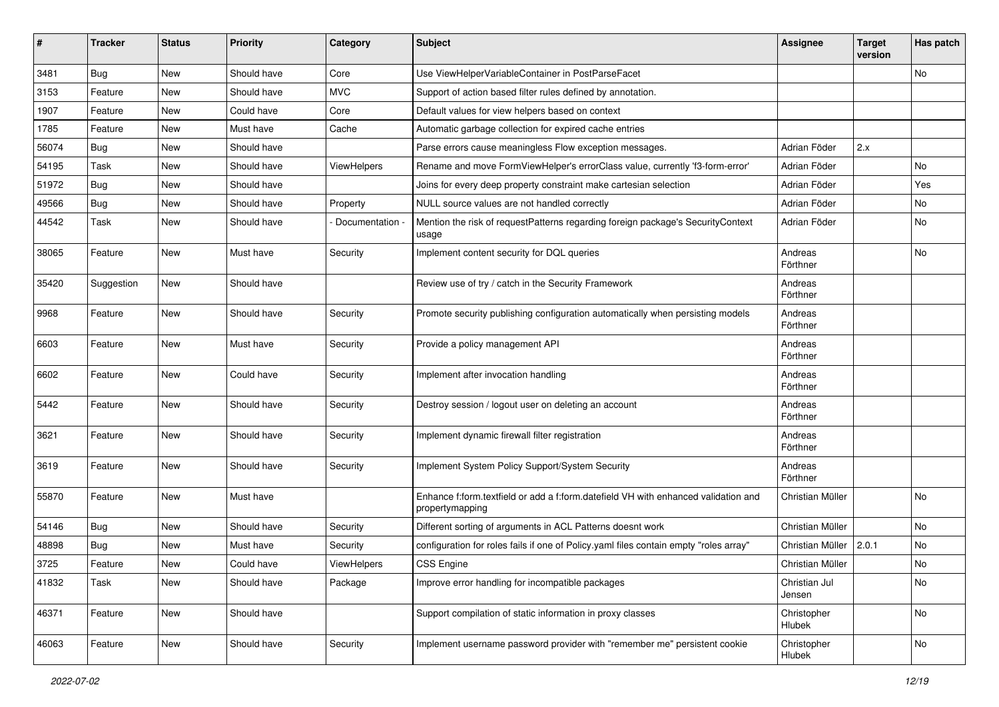| ∦     | <b>Tracker</b> | <b>Status</b> | <b>Priority</b> | Category        | <b>Subject</b>                                                                                        | <b>Assignee</b>         | <b>Target</b><br>version | Has patch     |
|-------|----------------|---------------|-----------------|-----------------|-------------------------------------------------------------------------------------------------------|-------------------------|--------------------------|---------------|
| 3481  | Bug            | <b>New</b>    | Should have     | Core            | Use ViewHelperVariableContainer in PostParseFacet                                                     |                         |                          | No            |
| 3153  | Feature        | New           | Should have     | <b>MVC</b>      | Support of action based filter rules defined by annotation.                                           |                         |                          |               |
| 1907  | Feature        | New           | Could have      | Core            | Default values for view helpers based on context                                                      |                         |                          |               |
| 1785  | Feature        | <b>New</b>    | Must have       | Cache           | Automatic garbage collection for expired cache entries                                                |                         |                          |               |
| 56074 | <b>Bug</b>     | New           | Should have     |                 | Parse errors cause meaningless Flow exception messages.                                               | Adrian Föder            | 2.x                      |               |
| 54195 | Task           | New           | Should have     | ViewHelpers     | Rename and move FormViewHelper's errorClass value, currently 'f3-form-error'                          | Adrian Föder            |                          | No            |
| 51972 | Bug            | New           | Should have     |                 | Joins for every deep property constraint make cartesian selection                                     | Adrian Föder            |                          | Yes           |
| 49566 | Bug            | New           | Should have     | Property        | NULL source values are not handled correctly                                                          | Adrian Föder            |                          | No            |
| 44542 | Task           | <b>New</b>    | Should have     | Documentation - | Mention the risk of requestPatterns regarding foreign package's SecurityContext<br>usage              | Adrian Föder            |                          | No            |
| 38065 | Feature        | New           | Must have       | Security        | Implement content security for DQL queries                                                            | Andreas<br>Förthner     |                          | No            |
| 35420 | Suggestion     | <b>New</b>    | Should have     |                 | Review use of try / catch in the Security Framework                                                   | Andreas<br>Förthner     |                          |               |
| 9968  | Feature        | <b>New</b>    | Should have     | Security        | Promote security publishing configuration automatically when persisting models                        | Andreas<br>Förthner     |                          |               |
| 6603  | Feature        | New           | Must have       | Security        | Provide a policy management API                                                                       | Andreas<br>Förthner     |                          |               |
| 6602  | Feature        | New           | Could have      | Security        | Implement after invocation handling                                                                   | Andreas<br>Förthner     |                          |               |
| 5442  | Feature        | <b>New</b>    | Should have     | Security        | Destroy session / logout user on deleting an account                                                  | Andreas<br>Förthner     |                          |               |
| 3621  | Feature        | New           | Should have     | Security        | Implement dynamic firewall filter registration                                                        | Andreas<br>Förthner     |                          |               |
| 3619  | Feature        | New           | Should have     | Security        | Implement System Policy Support/System Security                                                       | Andreas<br>Förthner     |                          |               |
| 55870 | Feature        | <b>New</b>    | Must have       |                 | Enhance f:form.textfield or add a f:form.datefield VH with enhanced validation and<br>propertymapping | Christian Müller        |                          | No            |
| 54146 | Bug            | New           | Should have     | Security        | Different sorting of arguments in ACL Patterns doesnt work                                            | Christian Müller        |                          | No            |
| 48898 | Bug            | New           | Must have       | Security        | configuration for roles fails if one of Policy yaml files contain empty "roles array"                 | Christian Müller        | 2.0.1                    | No            |
| 3725  | Feature        | New           | Could have      | ViewHelpers     | CSS Engine                                                                                            | Christian Müller        |                          | $\mathsf{No}$ |
| 41832 | Task           | New           | Should have     | Package         | Improve error handling for incompatible packages                                                      | Christian Jul<br>Jensen |                          | No            |
| 46371 | Feature        | New           | Should have     |                 | Support compilation of static information in proxy classes                                            | Christopher<br>Hlubek   |                          | No            |
| 46063 | Feature        | New           | Should have     | Security        | Implement username password provider with "remember me" persistent cookie                             | Christopher<br>Hlubek   |                          | No            |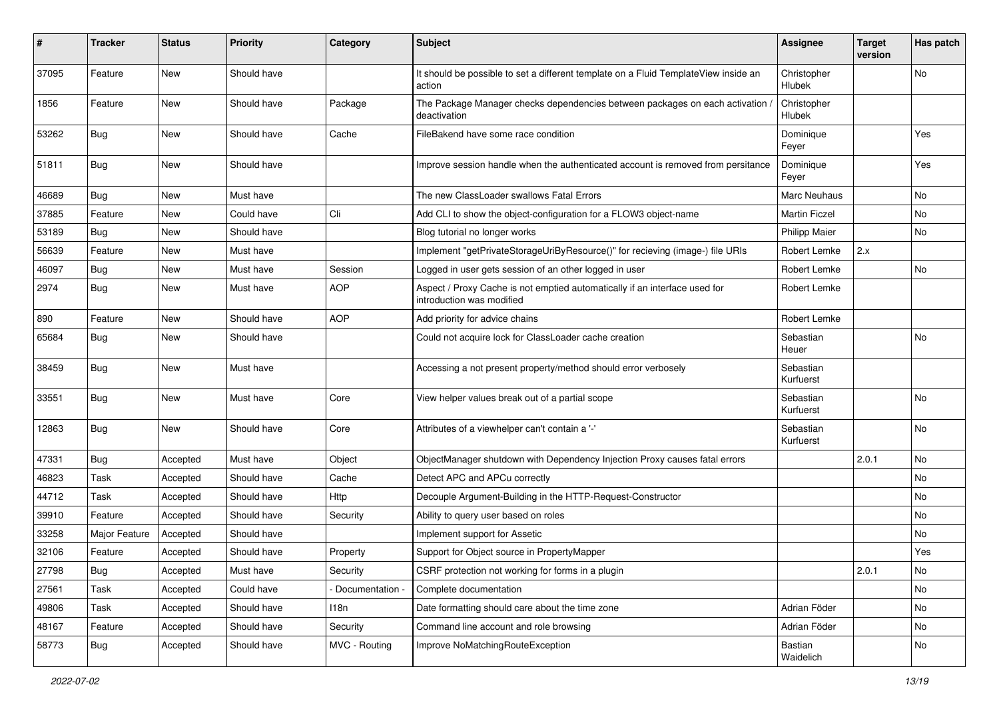| #     | <b>Tracker</b> | <b>Status</b> | Priority    | Category        | <b>Subject</b>                                                                                          | <b>Assignee</b>        | <b>Target</b><br>version | Has patch |
|-------|----------------|---------------|-------------|-----------------|---------------------------------------------------------------------------------------------------------|------------------------|--------------------------|-----------|
| 37095 | Feature        | <b>New</b>    | Should have |                 | It should be possible to set a different template on a Fluid TemplateView inside an<br>action           | Christopher<br>Hlubek  |                          | No        |
| 1856  | Feature        | New           | Should have | Package         | The Package Manager checks dependencies between packages on each activation /<br>deactivation           | Christopher<br>Hlubek  |                          |           |
| 53262 | Bug            | New           | Should have | Cache           | FileBakend have some race condition                                                                     | Dominique<br>Feyer     |                          | Yes       |
| 51811 | Bug            | New           | Should have |                 | Improve session handle when the authenticated account is removed from persitance                        | Dominique<br>Feyer     |                          | Yes       |
| 46689 | Bug            | <b>New</b>    | Must have   |                 | The new ClassLoader swallows Fatal Errors                                                               | Marc Neuhaus           |                          | No        |
| 37885 | Feature        | New           | Could have  | Cli             | Add CLI to show the object-configuration for a FLOW3 object-name                                        | <b>Martin Ficzel</b>   |                          | No        |
| 53189 | Bug            | New           | Should have |                 | Blog tutorial no longer works                                                                           | <b>Philipp Maier</b>   |                          | No        |
| 56639 | Feature        | <b>New</b>    | Must have   |                 | Implement "getPrivateStorageUriByResource()" for recieving (image-) file URIs                           | Robert Lemke           | 2.x                      |           |
| 46097 | Bug            | New           | Must have   | Session         | Logged in user gets session of an other logged in user                                                  | Robert Lemke           |                          | No        |
| 2974  | Bug            | New           | Must have   | <b>AOP</b>      | Aspect / Proxy Cache is not emptied automatically if an interface used for<br>introduction was modified | Robert Lemke           |                          |           |
| 890   | Feature        | <b>New</b>    | Should have | <b>AOP</b>      | Add priority for advice chains                                                                          | Robert Lemke           |                          |           |
| 65684 | Bug            | New           | Should have |                 | Could not acquire lock for ClassLoader cache creation                                                   | Sebastian<br>Heuer     |                          | No        |
| 38459 | Bug            | New           | Must have   |                 | Accessing a not present property/method should error verbosely                                          | Sebastian<br>Kurfuerst |                          |           |
| 33551 | Bug            | <b>New</b>    | Must have   | Core            | View helper values break out of a partial scope                                                         | Sebastian<br>Kurfuerst |                          | No        |
| 12863 | Bug            | <b>New</b>    | Should have | Core            | Attributes of a viewhelper can't contain a '-'                                                          | Sebastian<br>Kurfuerst |                          | No        |
| 47331 | Bug            | Accepted      | Must have   | Object          | ObjectManager shutdown with Dependency Injection Proxy causes fatal errors                              |                        | 2.0.1                    | No        |
| 46823 | Task           | Accepted      | Should have | Cache           | Detect APC and APCu correctly                                                                           |                        |                          | No        |
| 44712 | Task           | Accepted      | Should have | Http            | Decouple Argument-Building in the HTTP-Request-Constructor                                              |                        |                          | No        |
| 39910 | Feature        | Accepted      | Should have | Security        | Ability to query user based on roles                                                                    |                        |                          | No        |
| 33258 | Major Feature  | Accepted      | Should have |                 | Implement support for Assetic                                                                           |                        |                          | No        |
| 32106 | Feature        | Accepted      | Should have | Property        | Support for Object source in PropertyMapper                                                             |                        |                          | Yes       |
| 27798 | <b>Bug</b>     | Accepted      | Must have   | Security        | CSRF protection not working for forms in a plugin                                                       |                        | 2.0.1                    | No        |
| 27561 | Task           | Accepted      | Could have  | Documentation - | Complete documentation                                                                                  |                        |                          | No        |
| 49806 | Task           | Accepted      | Should have | 118n            | Date formatting should care about the time zone                                                         | Adrian Föder           |                          | No        |
| 48167 | Feature        | Accepted      | Should have | Security        | Command line account and role browsing                                                                  | Adrian Föder           |                          | No        |
| 58773 | <b>Bug</b>     | Accepted      | Should have | MVC - Routing   | Improve NoMatchingRouteException                                                                        | Bastian<br>Waidelich   |                          | No        |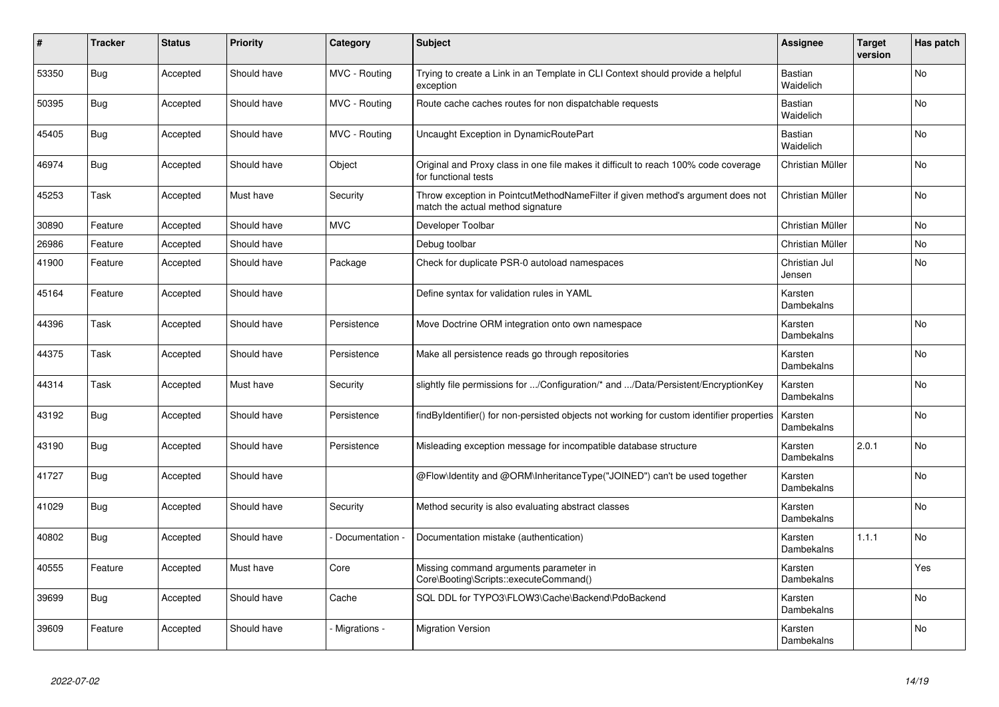| ∦     | <b>Tracker</b> | <b>Status</b> | <b>Priority</b> | Category        | <b>Subject</b>                                                                                                       | Assignee                    | <b>Target</b><br>version | Has patch |
|-------|----------------|---------------|-----------------|-----------------|----------------------------------------------------------------------------------------------------------------------|-----------------------------|--------------------------|-----------|
| 53350 | Bug            | Accepted      | Should have     | MVC - Routing   | Trying to create a Link in an Template in CLI Context should provide a helpful<br>exception                          | Bastian<br>Waidelich        |                          | <b>No</b> |
| 50395 | Bug            | Accepted      | Should have     | MVC - Routing   | Route cache caches routes for non dispatchable requests                                                              | <b>Bastian</b><br>Waidelich |                          | No        |
| 45405 | <b>Bug</b>     | Accepted      | Should have     | MVC - Routing   | Uncaught Exception in DynamicRoutePart                                                                               | Bastian<br>Waidelich        |                          | No        |
| 46974 | Bug            | Accepted      | Should have     | Object          | Original and Proxy class in one file makes it difficult to reach 100% code coverage<br>for functional tests          | Christian Müller            |                          | No        |
| 45253 | Task           | Accepted      | Must have       | Security        | Throw exception in PointcutMethodNameFilter if given method's argument does not<br>match the actual method signature | Christian Müller            |                          | No        |
| 30890 | Feature        | Accepted      | Should have     | <b>MVC</b>      | Developer Toolbar                                                                                                    | Christian Müller            |                          | No        |
| 26986 | Feature        | Accepted      | Should have     |                 | Debug toolbar                                                                                                        | Christian Müller            |                          | No        |
| 41900 | Feature        | Accepted      | Should have     | Package         | Check for duplicate PSR-0 autoload namespaces                                                                        | Christian Jul<br>Jensen     |                          | <b>No</b> |
| 45164 | Feature        | Accepted      | Should have     |                 | Define syntax for validation rules in YAML                                                                           | Karsten<br>Dambekalns       |                          |           |
| 44396 | Task           | Accepted      | Should have     | Persistence     | Move Doctrine ORM integration onto own namespace                                                                     | Karsten<br>Dambekalns       |                          | No        |
| 44375 | Task           | Accepted      | Should have     | Persistence     | Make all persistence reads go through repositories                                                                   | Karsten<br>Dambekalns       |                          | No        |
| 44314 | Task           | Accepted      | Must have       | Security        | slightly file permissions for /Configuration/* and /Data/Persistent/EncryptionKey                                    | Karsten<br>Dambekalns       |                          | <b>No</b> |
| 43192 | <b>Bug</b>     | Accepted      | Should have     | Persistence     | findByIdentifier() for non-persisted objects not working for custom identifier properties                            | Karsten<br>Dambekalns       |                          | No        |
| 43190 | <b>Bug</b>     | Accepted      | Should have     | Persistence     | Misleading exception message for incompatible database structure                                                     | Karsten<br>Dambekalns       | 2.0.1                    | <b>No</b> |
| 41727 | <b>Bug</b>     | Accepted      | Should have     |                 | @Flow\Identity and @ORM\InheritanceType("JOINED") can't be used together                                             | Karsten<br>Dambekalns       |                          | No        |
| 41029 | <b>Bug</b>     | Accepted      | Should have     | Security        | Method security is also evaluating abstract classes                                                                  | Karsten<br>Dambekalns       |                          | No        |
| 40802 | Bug            | Accepted      | Should have     | Documentation - | Documentation mistake (authentication)                                                                               | Karsten<br>Dambekalns       | 1.1.1                    | No        |
| 40555 | Feature        | Accepted      | Must have       | Core            | Missing command arguments parameter in<br>Core\Booting\Scripts::executeCommand()                                     | Karsten<br>Dambekalns       |                          | Yes       |
| 39699 | <b>Bug</b>     | Accepted      | Should have     | Cache           | SQL DDL for TYPO3\FLOW3\Cache\Backend\PdoBackend                                                                     | Karsten<br>Dambekalns       |                          | No        |
| 39609 | Feature        | Accepted      | Should have     | Migrations -    | <b>Migration Version</b>                                                                                             | Karsten<br>Dambekalns       |                          | No        |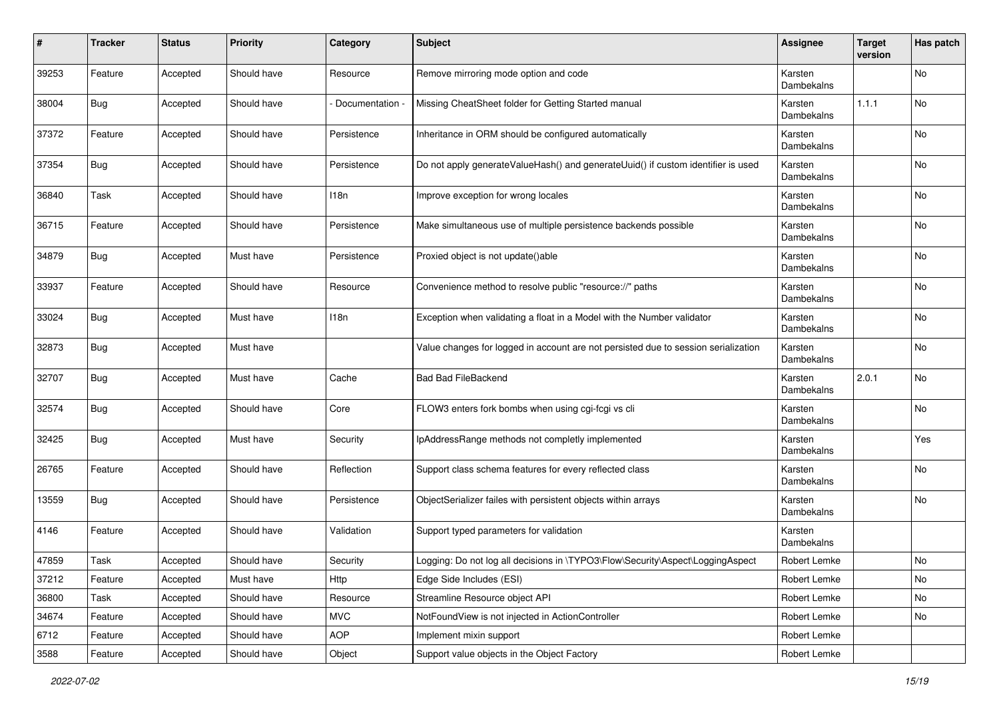| $\pmb{\#}$ | <b>Tracker</b> | <b>Status</b> | <b>Priority</b> | Category        | <b>Subject</b>                                                                     | Assignee              | <b>Target</b><br>version | Has patch |
|------------|----------------|---------------|-----------------|-----------------|------------------------------------------------------------------------------------|-----------------------|--------------------------|-----------|
| 39253      | Feature        | Accepted      | Should have     | Resource        | Remove mirroring mode option and code                                              | Karsten<br>Dambekalns |                          | No        |
| 38004      | <b>Bug</b>     | Accepted      | Should have     | Documentation - | Missing CheatSheet folder for Getting Started manual                               | Karsten<br>Dambekalns | 1.1.1                    | No        |
| 37372      | Feature        | Accepted      | Should have     | Persistence     | Inheritance in ORM should be configured automatically                              | Karsten<br>Dambekalns |                          | No        |
| 37354      | <b>Bug</b>     | Accepted      | Should have     | Persistence     | Do not apply generateValueHash() and generateUuid() if custom identifier is used   | Karsten<br>Dambekalns |                          | No        |
| 36840      | Task           | Accepted      | Should have     | 118n            | Improve exception for wrong locales                                                | Karsten<br>Dambekalns |                          | No        |
| 36715      | Feature        | Accepted      | Should have     | Persistence     | Make simultaneous use of multiple persistence backends possible                    | Karsten<br>Dambekalns |                          | No        |
| 34879      | <b>Bug</b>     | Accepted      | Must have       | Persistence     | Proxied object is not update()able                                                 | Karsten<br>Dambekalns |                          | No        |
| 33937      | Feature        | Accepted      | Should have     | Resource        | Convenience method to resolve public "resource://" paths                           | Karsten<br>Dambekalns |                          | No        |
| 33024      | <b>Bug</b>     | Accepted      | Must have       | 118n            | Exception when validating a float in a Model with the Number validator             | Karsten<br>Dambekalns |                          | No        |
| 32873      | <b>Bug</b>     | Accepted      | Must have       |                 | Value changes for logged in account are not persisted due to session serialization | Karsten<br>Dambekalns |                          | No        |
| 32707      | <b>Bug</b>     | Accepted      | Must have       | Cache           | <b>Bad Bad FileBackend</b>                                                         | Karsten<br>Dambekalns | 2.0.1                    | No        |
| 32574      | <b>Bug</b>     | Accepted      | Should have     | Core            | FLOW3 enters fork bombs when using cgi-fcgi vs cli                                 | Karsten<br>Dambekalns |                          | No        |
| 32425      | <b>Bug</b>     | Accepted      | Must have       | Security        | IpAddressRange methods not completly implemented                                   | Karsten<br>Dambekalns |                          | Yes       |
| 26765      | Feature        | Accepted      | Should have     | Reflection      | Support class schema features for every reflected class                            | Karsten<br>Dambekalns |                          | No        |
| 13559      | <b>Bug</b>     | Accepted      | Should have     | Persistence     | ObjectSerializer failes with persistent objects within arrays                      | Karsten<br>Dambekalns |                          | No        |
| 4146       | Feature        | Accepted      | Should have     | Validation      | Support typed parameters for validation                                            | Karsten<br>Dambekalns |                          |           |
| 47859      | Task           | Accepted      | Should have     | Security        | Logging: Do not log all decisions in \TYPO3\Flow\Security\Aspect\LoggingAspect     | Robert Lemke          |                          | <b>No</b> |
| 37212      | Feature        | Accepted      | Must have       | Http            | Edge Side Includes (ESI)                                                           | Robert Lemke          |                          | No        |
| 36800      | Task           | Accepted      | Should have     | Resource        | Streamline Resource object API                                                     | Robert Lemke          |                          | No        |
| 34674      | Feature        | Accepted      | Should have     | <b>MVC</b>      | NotFoundView is not injected in ActionController                                   | Robert Lemke          |                          | No        |
| 6712       | Feature        | Accepted      | Should have     | <b>AOP</b>      | Implement mixin support                                                            | Robert Lemke          |                          |           |
| 3588       | Feature        | Accepted      | Should have     | Object          | Support value objects in the Object Factory                                        | Robert Lemke          |                          |           |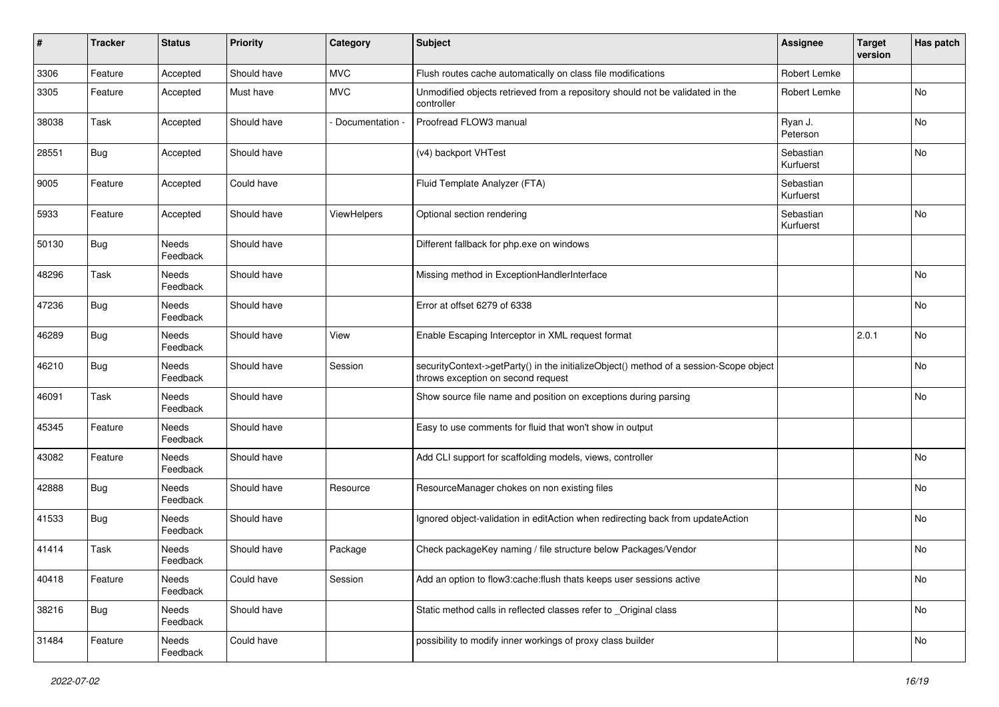| #     | Tracker    | <b>Status</b>     | <b>Priority</b> | Category      | <b>Subject</b>                                                                                                               | <b>Assignee</b>        | <b>Target</b><br>version | Has patch |
|-------|------------|-------------------|-----------------|---------------|------------------------------------------------------------------------------------------------------------------------------|------------------------|--------------------------|-----------|
| 3306  | Feature    | Accepted          | Should have     | <b>MVC</b>    | Flush routes cache automatically on class file modifications                                                                 | Robert Lemke           |                          |           |
| 3305  | Feature    | Accepted          | Must have       | <b>MVC</b>    | Unmodified objects retrieved from a repository should not be validated in the<br>controller                                  | Robert Lemke           |                          | No        |
| 38038 | Task       | Accepted          | Should have     | Documentation | Proofread FLOW3 manual                                                                                                       | Ryan J.<br>Peterson    |                          | No        |
| 28551 | Bug        | Accepted          | Should have     |               | (v4) backport VHTest                                                                                                         | Sebastian<br>Kurfuerst |                          | No        |
| 9005  | Feature    | Accepted          | Could have      |               | Fluid Template Analyzer (FTA)                                                                                                | Sebastian<br>Kurfuerst |                          |           |
| 5933  | Feature    | Accepted          | Should have     | ViewHelpers   | Optional section rendering                                                                                                   | Sebastian<br>Kurfuerst |                          | No        |
| 50130 | <b>Bug</b> | Needs<br>Feedback | Should have     |               | Different fallback for php.exe on windows                                                                                    |                        |                          |           |
| 48296 | Task       | Needs<br>Feedback | Should have     |               | Missing method in ExceptionHandlerInterface                                                                                  |                        |                          | No        |
| 47236 | <b>Bug</b> | Needs<br>Feedback | Should have     |               | Error at offset 6279 of 6338                                                                                                 |                        |                          | No        |
| 46289 | Bug        | Needs<br>Feedback | Should have     | View          | Enable Escaping Interceptor in XML request format                                                                            |                        | 2.0.1                    | No        |
| 46210 | Bug        | Needs<br>Feedback | Should have     | Session       | securityContext->getParty() in the initializeObject() method of a session-Scope object<br>throws exception on second request |                        |                          | No        |
| 46091 | Task       | Needs<br>Feedback | Should have     |               | Show source file name and position on exceptions during parsing                                                              |                        |                          | No        |
| 45345 | Feature    | Needs<br>Feedback | Should have     |               | Easy to use comments for fluid that won't show in output                                                                     |                        |                          |           |
| 43082 | Feature    | Needs<br>Feedback | Should have     |               | Add CLI support for scaffolding models, views, controller                                                                    |                        |                          | No        |
| 42888 | <b>Bug</b> | Needs<br>Feedback | Should have     | Resource      | ResourceManager chokes on non existing files                                                                                 |                        |                          | No        |
| 41533 | <b>Bug</b> | Needs<br>Feedback | Should have     |               | Ignored object-validation in editAction when redirecting back from updateAction                                              |                        |                          | No        |
| 41414 | Task       | Needs<br>Feedback | Should have     | Package       | Check packageKey naming / file structure below Packages/Vendor                                                               |                        |                          | No        |
| 40418 | Feature    | Needs<br>Feedback | Could have      | Session       | Add an option to flow3:cache:flush thats keeps user sessions active                                                          |                        |                          | No        |
| 38216 | <b>Bug</b> | Needs<br>Feedback | Should have     |               | Static method calls in reflected classes refer to _Original class                                                            |                        |                          | No        |
| 31484 | Feature    | Needs<br>Feedback | Could have      |               | possibility to modify inner workings of proxy class builder                                                                  |                        |                          | No        |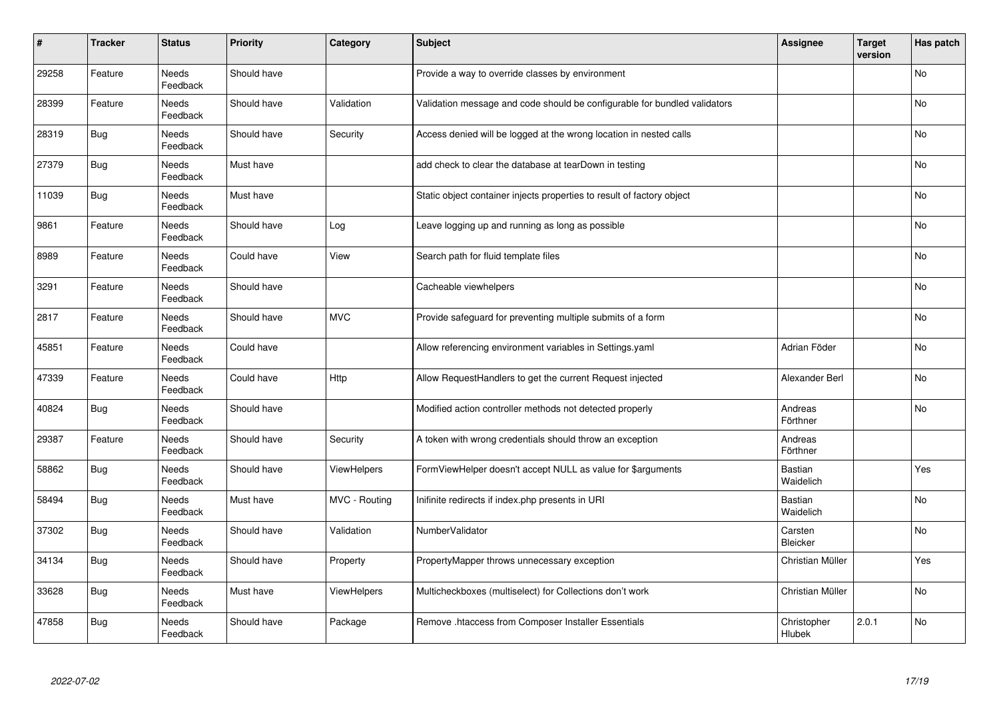| $\vert$ # | <b>Tracker</b> | <b>Status</b>            | <b>Priority</b> | Category      | <b>Subject</b>                                                            | Assignee              | <b>Target</b><br>version | Has patch |
|-----------|----------------|--------------------------|-----------------|---------------|---------------------------------------------------------------------------|-----------------------|--------------------------|-----------|
| 29258     | Feature        | Needs<br>Feedback        | Should have     |               | Provide a way to override classes by environment                          |                       |                          | <b>No</b> |
| 28399     | Feature        | Needs<br>Feedback        | Should have     | Validation    | Validation message and code should be configurable for bundled validators |                       |                          | No        |
| 28319     | <b>Bug</b>     | Needs<br>Feedback        | Should have     | Security      | Access denied will be logged at the wrong location in nested calls        |                       |                          | No        |
| 27379     | <b>Bug</b>     | Needs<br>Feedback        | Must have       |               | add check to clear the database at tearDown in testing                    |                       |                          | <b>No</b> |
| 11039     | <b>Bug</b>     | <b>Needs</b><br>Feedback | Must have       |               | Static object container injects properties to result of factory object    |                       |                          | <b>No</b> |
| 9861      | Feature        | Needs<br>Feedback        | Should have     | Log           | Leave logging up and running as long as possible                          |                       |                          | No        |
| 8989      | Feature        | Needs<br>Feedback        | Could have      | View          | Search path for fluid template files                                      |                       |                          | <b>No</b> |
| 3291      | Feature        | Needs<br>Feedback        | Should have     |               | Cacheable viewhelpers                                                     |                       |                          | <b>No</b> |
| 2817      | Feature        | Needs<br>Feedback        | Should have     | <b>MVC</b>    | Provide safeguard for preventing multiple submits of a form               |                       |                          | No        |
| 45851     | Feature        | <b>Needs</b><br>Feedback | Could have      |               | Allow referencing environment variables in Settings.yaml                  | Adrian Föder          |                          | <b>No</b> |
| 47339     | Feature        | Needs<br>Feedback        | Could have      | Http          | Allow RequestHandlers to get the current Request injected                 | Alexander Berl        |                          | No        |
| 40824     | <b>Bug</b>     | Needs<br>Feedback        | Should have     |               | Modified action controller methods not detected properly                  | Andreas<br>Förthner   |                          | No        |
| 29387     | Feature        | Needs<br>Feedback        | Should have     | Security      | A token with wrong credentials should throw an exception                  | Andreas<br>Förthner   |                          |           |
| 58862     | Bug            | Needs<br>Feedback        | Should have     | ViewHelpers   | FormViewHelper doesn't accept NULL as value for \$arguments               | Bastian<br>Waidelich  |                          | Yes       |
| 58494     | <b>Bug</b>     | Needs<br>Feedback        | Must have       | MVC - Routing | Inifinite redirects if index.php presents in URI                          | Bastian<br>Waidelich  |                          | No        |
| 37302     | <b>Bug</b>     | Needs<br>Feedback        | Should have     | Validation    | NumberValidator                                                           | Carsten<br>Bleicker   |                          | <b>No</b> |
| 34134     | Bug            | Needs<br>Feedback        | Should have     | Property      | PropertyMapper throws unnecessary exception                               | Christian Müller      |                          | Yes       |
| 33628     | <b>Bug</b>     | Needs<br>Feedback        | Must have       | ViewHelpers   | Multicheckboxes (multiselect) for Collections don't work                  | Christian Müller      |                          | No        |
| 47858     | <b>Bug</b>     | Needs<br>Feedback        | Should have     | Package       | Remove .htaccess from Composer Installer Essentials                       | Christopher<br>Hlubek | 2.0.1                    | <b>No</b> |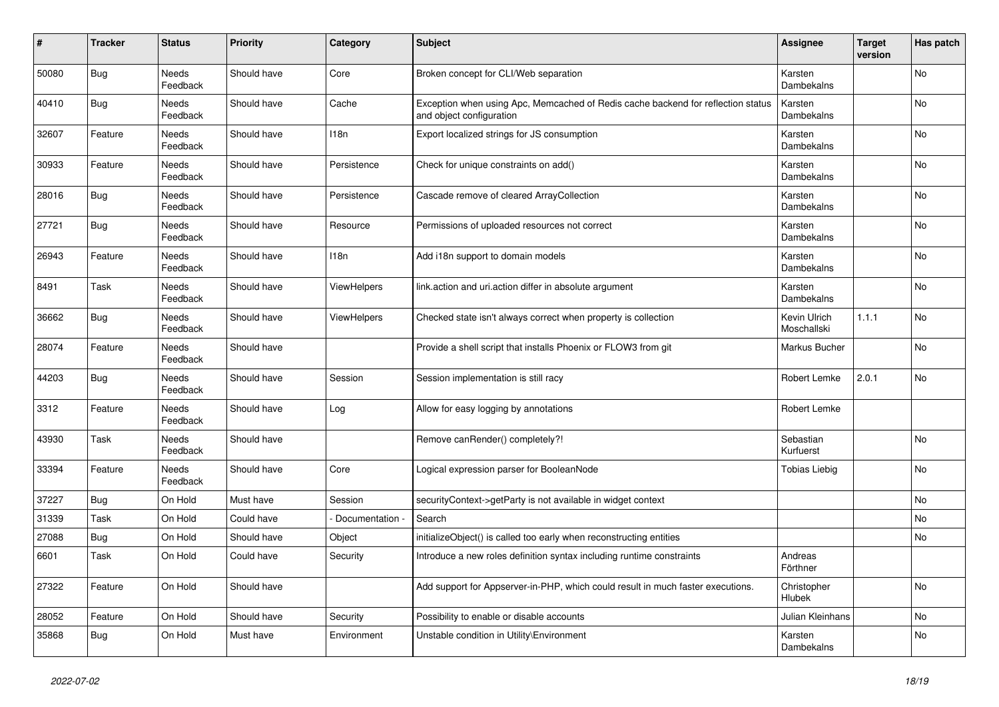| #     | <b>Tracker</b> | <b>Status</b>            | <b>Priority</b> | Category        | <b>Subject</b>                                                                                               | <b>Assignee</b>             | <b>Target</b><br>version | Has patch |
|-------|----------------|--------------------------|-----------------|-----------------|--------------------------------------------------------------------------------------------------------------|-----------------------------|--------------------------|-----------|
| 50080 | Bug            | Needs<br>Feedback        | Should have     | Core            | Broken concept for CLI/Web separation                                                                        | Karsten<br>Dambekalns       |                          | No        |
| 40410 | Bug            | Needs<br>Feedback        | Should have     | Cache           | Exception when using Apc, Memcached of Redis cache backend for reflection status<br>and object configuration | Karsten<br>Dambekalns       |                          | No        |
| 32607 | Feature        | Needs<br>Feedback        | Should have     | 118n            | Export localized strings for JS consumption                                                                  | Karsten<br>Dambekalns       |                          | No        |
| 30933 | Feature        | Needs<br>Feedback        | Should have     | Persistence     | Check for unique constraints on add()                                                                        | Karsten<br>Dambekalns       |                          | <b>No</b> |
| 28016 | <b>Bug</b>     | <b>Needs</b><br>Feedback | Should have     | Persistence     | Cascade remove of cleared ArrayCollection                                                                    | Karsten<br>Dambekalns       |                          | No        |
| 27721 | Bug            | Needs<br>Feedback        | Should have     | Resource        | Permissions of uploaded resources not correct                                                                | Karsten<br>Dambekalns       |                          | <b>No</b> |
| 26943 | Feature        | Needs<br>Feedback        | Should have     | 118n            | Add i18n support to domain models                                                                            | Karsten<br>Dambekalns       |                          | <b>No</b> |
| 8491  | Task           | Needs<br>Feedback        | Should have     | ViewHelpers     | link.action and uri.action differ in absolute argument                                                       | Karsten<br>Dambekalns       |                          | No        |
| 36662 | Bug            | Needs<br>Feedback        | Should have     | ViewHelpers     | Checked state isn't always correct when property is collection                                               | Kevin Ulrich<br>Moschallski | 1.1.1                    | No        |
| 28074 | Feature        | Needs<br>Feedback        | Should have     |                 | Provide a shell script that installs Phoenix or FLOW3 from git                                               | Markus Bucher               |                          | No        |
| 44203 | <b>Bug</b>     | Needs<br>Feedback        | Should have     | Session         | Session implementation is still racy                                                                         | Robert Lemke                | 2.0.1                    | No        |
| 3312  | Feature        | Needs<br>Feedback        | Should have     | Log             | Allow for easy logging by annotations                                                                        | Robert Lemke                |                          |           |
| 43930 | Task           | Needs<br>Feedback        | Should have     |                 | Remove canRender() completely?!                                                                              | Sebastian<br>Kurfuerst      |                          | <b>No</b> |
| 33394 | Feature        | Needs<br>Feedback        | Should have     | Core            | Logical expression parser for BooleanNode                                                                    | <b>Tobias Liebig</b>        |                          | No        |
| 37227 | Bug            | On Hold                  | Must have       | Session         | securityContext->getParty is not available in widget context                                                 |                             |                          | No        |
| 31339 | Task           | On Hold                  | Could have      | Documentation - | Search                                                                                                       |                             |                          | No        |
| 27088 | Bug            | On Hold                  | Should have     | Object          | initializeObject() is called too early when reconstructing entities                                          |                             |                          | No        |
| 6601  | Task           | On Hold                  | Could have      | Security        | Introduce a new roles definition syntax including runtime constraints                                        | Andreas<br>Förthner         |                          |           |
| 27322 | Feature        | On Hold                  | Should have     |                 | Add support for Appserver-in-PHP, which could result in much faster executions.                              | Christopher<br>Hlubek       |                          | No        |
| 28052 | Feature        | On Hold                  | Should have     | Security        | Possibility to enable or disable accounts                                                                    | Julian Kleinhans            |                          | No        |
| 35868 | <b>Bug</b>     | On Hold                  | Must have       | Environment     | Unstable condition in Utility\Environment                                                                    | Karsten<br>Dambekalns       |                          | No        |